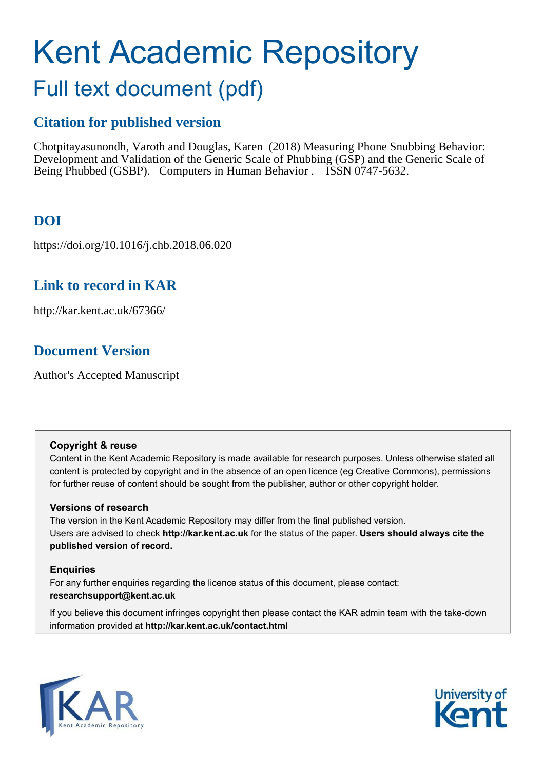# Kent Academic Repository

# Full text document (pdf)

# **Citation for published version**

Chotpitayasunondh, Varoth and Douglas, Karen (2018) Measuring Phone Snubbing Behavior: Development and Validation of the Generic Scale of Phubbing (GSP) and the Generic Scale of Being Phubbed (GSBP). Computers in Human Behavior . ISSN 0747-5632.

# **DOI**

https://doi.org/10.1016/j.chb.2018.06.020

## **Link to record in KAR**

http://kar.kent.ac.uk/67366/

## **Document Version**

Author's Accepted Manuscript

#### **Copyright & reuse**

Content in the Kent Academic Repository is made available for research purposes. Unless otherwise stated all content is protected by copyright and in the absence of an open licence (eg Creative Commons), permissions for further reuse of content should be sought from the publisher, author or other copyright holder.

#### **Versions of research**

The version in the Kent Academic Repository may differ from the final published version. Users are advised to check **http://kar.kent.ac.uk** for the status of the paper. **Users should always cite the published version of record.**

#### **Enquiries**

For any further enquiries regarding the licence status of this document, please contact: **researchsupport@kent.ac.uk**

If you believe this document infringes copyright then please contact the KAR admin team with the take-down information provided at **http://kar.kent.ac.uk/contact.html**



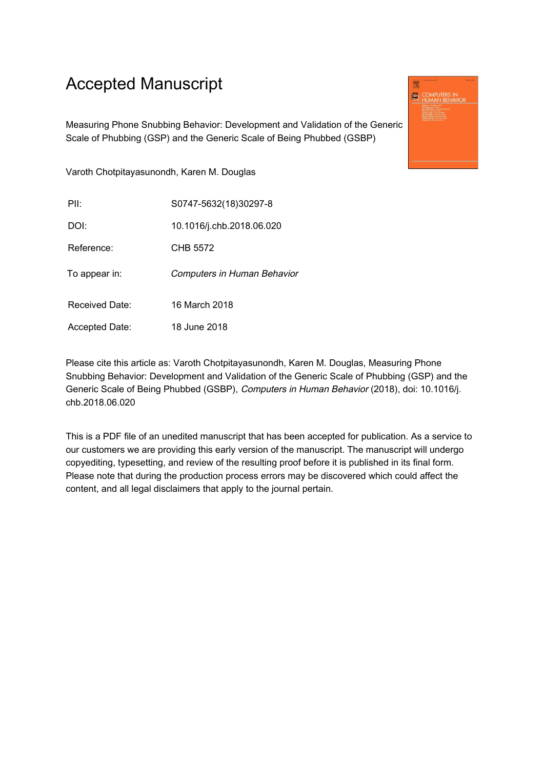# Accepted Manuscript

Measuring Phone Snubbing Behavior: Development and Validation of the Generic Scale of Phubbing (GSP) and the Generic Scale of Being Phubbed (GSBP)

**ED** COMPUTERS IN

Varoth Chotpitayasunondh, Karen M. Douglas

| PII:                  | S0747-5632(18)30297-8       |
|-----------------------|-----------------------------|
| DOI:                  | 10.1016/j.chb.2018.06.020   |
| Reference:            | CHB 5572                    |
| To appear in:         | Computers in Human Behavior |
| Received Date:        | 16 March 2018               |
| <b>Accepted Date:</b> | 18 June 2018                |

Please cite this article as: Varoth Chotpitayasunondh, Karen M. Douglas, Measuring Phone Snubbing Behavior: Development and Validation of the Generic Scale of Phubbing (GSP) and the Generic Scale of Being Phubbed (GSBP), Computers in Human Behavior (2018), doi: 10.1016/j. chb.2018.06.020

This is a PDF file of an unedited manuscript that has been accepted for publication. As a service to our customers we are providing this early version of the manuscript. The manuscript will undergo copyediting, typesetting, and review of the resulting proof before it is published in its final form. Please note that during the production process errors may be discovered which could affect the content, and all legal disclaimers that apply to the journal pertain.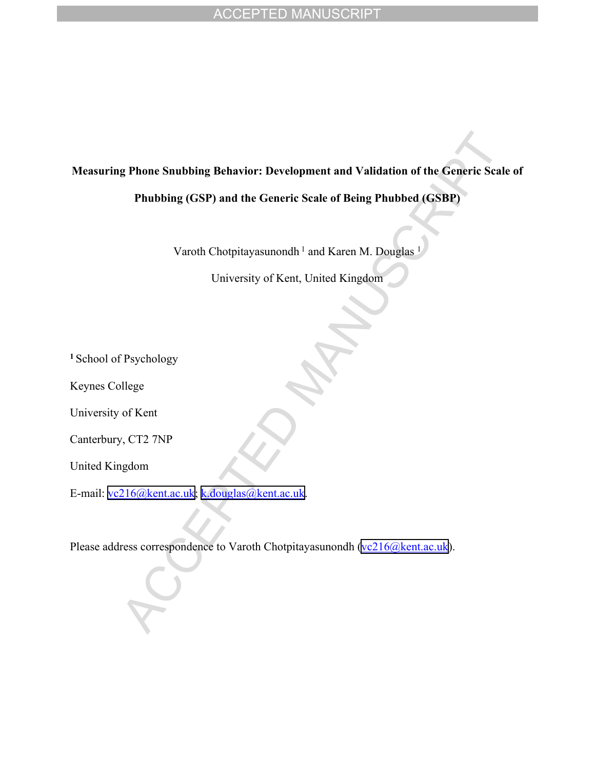# **Measuring Phone Snubbing Behavior: Development and Validation of the Generic Scale of**

**Phubbing (GSP) and the Generic Scale of Being Phubbed (GSBP)**

Varoth Chotpitayasunondh<sup>1</sup> and Karen M. Douglas<sup>1</sup>

University of Kent, United Kingdom

**<sup>1</sup>**School of Psychology

Keynes College

University of Kent

Canterbury, CT2 7NP

United Kingdom

E-mail: [vc216@kent.ac.uk;](mailto:vc216@kent.ac.uk) [k.douglas@kent.ac.uk.](mailto:k.douglas@kent.ac.uk)

Please address correspondence to Varoth Chotpitayasunondh ([vc216@kent.ac.uk\)](mailto:vc216@kent.ac.uk).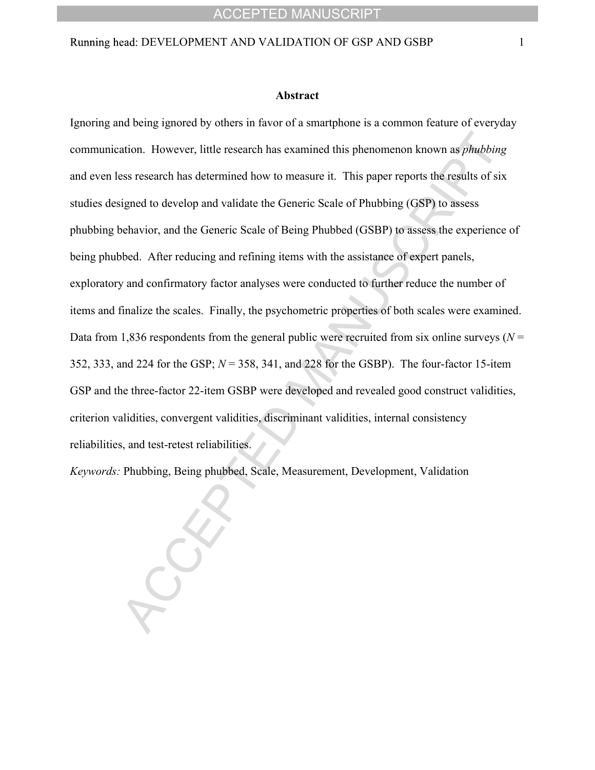#### Running head: DEVELOPMENT AND VALIDATION OF GSP AND GSBP 1

#### **Abstract**

Ignoring and being ignored by others in favor of a smartphone is a common feature of everyday communication. However, little research has examined this phenomenon known as *phubbing* and even less research has determined how to measure it. This paper reports the results of six studies designed to develop and validate the Generic Scale of Phubbing (GSP) to assess phubbing behavior, and the Generic Scale of Being Phubbed (GSBP) to assess the experience of being phubbed. After reducing and refining items with the assistance of expert panels, exploratory and confirmatory factor analyses were conducted to further reduce the number of items and finalize the scales. Finally, the psychometric properties of both scales were examined. Data from 1,836 respondents from the general public were recruited from six online surveys ( $N =$ 352, 333, and 224 for the GSP; *N* = 358, 341, and 228 for the GSBP). The four-factor 15-item GSP and the three-factor 22-item GSBP were developed and revealed good construct validities, criterion validities, convergent validities, discriminant validities, internal consistency reliabilities, and test-retest reliabilities.

*Keywords:* Phubbing, Being phubbed, Scale, Measurement, Development, Validation

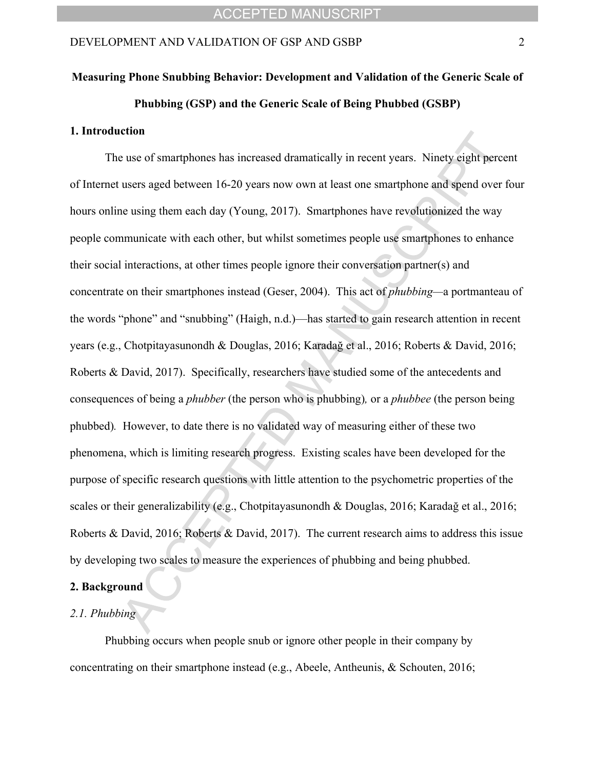# **Measuring Phone Snubbing Behavior: Development and Validation of the Generic Scale of Phubbing (GSP) and the Generic Scale of Being Phubbed (GSBP)**

#### **1. Introduction**

The use of smartphones has increased dramatically in recent years. Ninety eight percent of Internet users aged between 16-20 years now own at least one smartphone and spend over four hours online using them each day (Young, 2017). Smartphones have revolutionized the way people communicate with each other, but whilst sometimes people use smartphones to enhance their social interactions, at other times people ignore their conversation partner(s) and concentrate on their smartphones instead (Geser, 2004). This act of *phubbing*—a portmanteau of the words "phone" and "snubbing" (Haigh, n.d.)—has started to gain research attention in recent years (e.g., Chotpitayasunondh & Douglas, 2016; Karadağ et al., 2016; Roberts & David, 2016; Roberts & David, 2017). Specifically, researchers have studied some of the antecedents and consequences of being a *phubber* (the person who is phubbing)*,* or a *phubbee* (the person being phubbed)*.* However, to date there is no validated way of measuring either of these two phenomena, which is limiting research progress. Existing scales have been developed for the purpose of specific research questions with little attention to the psychometric properties of the scales or their generalizability (e.g., Chotpitayasunondh & Douglas, 2016; Karadağ et al., 2016; Roberts & David, 2016; Roberts & David, 2017). The current research aims to address this issue by developing two scales to measure the experiences of phubbing and being phubbed.

#### **2. Background**

#### *2.1. Phubbing*

Phubbing occurs when people snub or ignore other people in their company by concentrating on their smartphone instead (e.g., Abeele, Antheunis, & Schouten, 2016;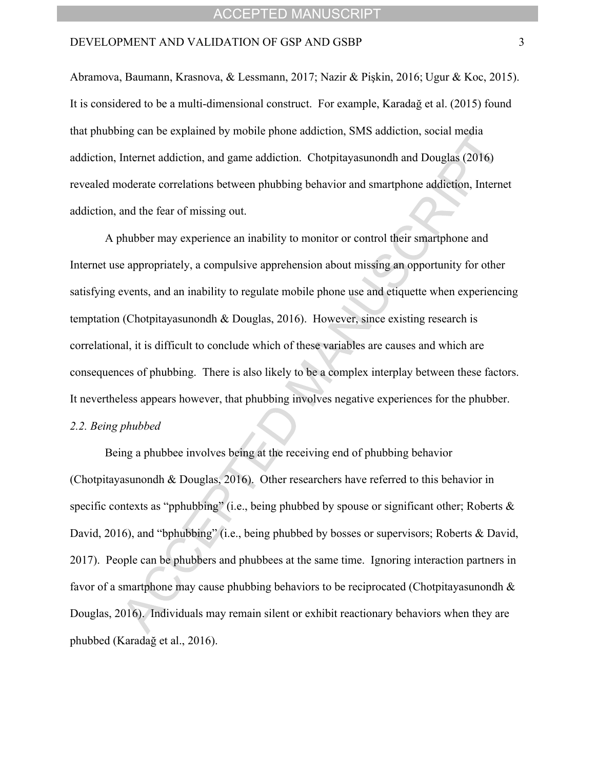#### DEVELOPMENT AND VALIDATION OF GSP AND GSBP 3

Abramova, Baumann, Krasnova, & Lessmann, 2017; Nazir & Pişkin, 2016; Ugur & Koc, 2015). It is considered to be a multi-dimensional construct. For example, Karadağ et al. (2015) found that phubbing can be explained by mobile phone addiction, SMS addiction, social media addiction, Internet addiction, and game addiction. Chotpitayasunondh and Douglas (2016) revealed moderate correlations between phubbing behavior and smartphone addiction, Internet addiction, and the fear of missing out.

A phubber may experience an inability to monitor or control their smartphone and Internet use appropriately, a compulsive apprehension about missing an opportunity for other satisfying events, and an inability to regulate mobile phone use and etiquette when experiencing temptation (Chotpitayasunondh & Douglas, 2016). However, since existing research is correlational, it is difficult to conclude which of these variables are causes and which are consequences of phubbing. There is also likely to be a complex interplay between these factors. It nevertheless appears however, that phubbing involves negative experiences for the phubber. *2.2. Being phubbed*

Being a phubbee involves being at the receiving end of phubbing behavior (Chotpitayasunondh & Douglas, 2016). Other researchers have referred to this behavior in specific contexts as "pphubbing" (i.e., being phubbed by spouse or significant other; Roberts  $\&$ David, 2016), and "bphubbing" (i.e., being phubbed by bosses or supervisors; Roberts & David, 2017). People can be phubbers and phubbees at the same time. Ignoring interaction partners in favor of a smartphone may cause phubbing behaviors to be reciprocated (Chotpitayasunondh & Douglas, 2016). Individuals may remain silent or exhibit reactionary behaviors when they are phubbed (Karadağ et al., 2016).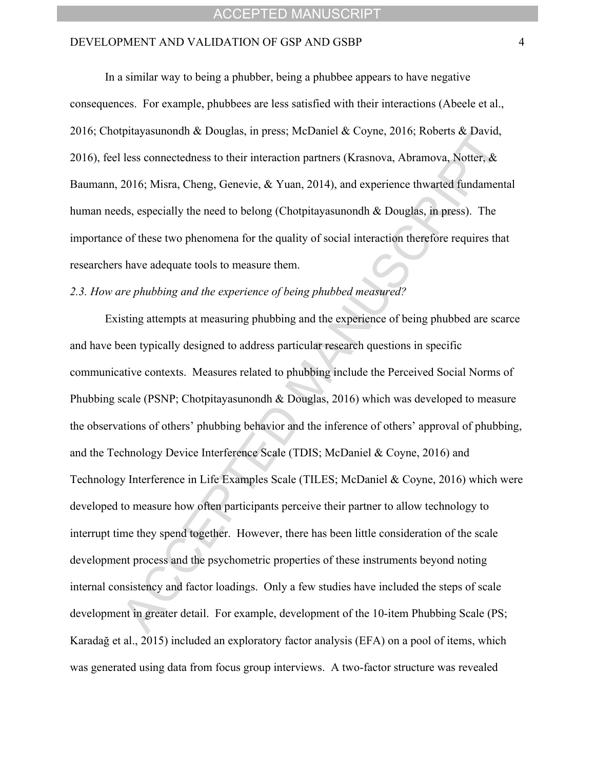#### DEVELOPMENT AND VALIDATION OF GSP AND GSBP 4

In a similar way to being a phubber, being a phubbee appears to have negative consequences. For example, phubbees are less satisfied with their interactions (Abeele et al., 2016; Chotpitayasunondh & Douglas, in press; McDaniel & Coyne, 2016; Roberts & David, 2016), feel less connectedness to their interaction partners (Krasnova, Abramova, Notter, & Baumann, 2016; Misra, Cheng, Genevie, & Yuan, 2014), and experience thwarted fundamental human needs, especially the need to belong (Chotpitayasunondh & Douglas, in press). The importance of these two phenomena for the quality of social interaction therefore requires that researchers have adequate tools to measure them.

#### *2.3. How are phubbing and the experience of being phubbed measured?*

Existing attempts at measuring phubbing and the experience of being phubbed are scarce and have been typically designed to address particular research questions in specific communicative contexts. Measures related to phubbing include the Perceived Social Norms of Phubbing scale (PSNP; Chotpitayasunondh & Douglas, 2016) which was developed to measure the observations of others' phubbing behavior and the inference of others' approval of phubbing, and the Technology Device Interference Scale (TDIS; McDaniel & Coyne, 2016) and Technology Interference in Life Examples Scale (TILES; McDaniel & Coyne, 2016) which were developed to measure how often participants perceive their partner to allow technology to interrupt time they spend together. However, there has been little consideration of the scale development process and the psychometric properties of these instruments beyond noting internal consistency and factor loadings. Only a few studies have included the steps of scale development in greater detail. For example, development of the 10-item Phubbing Scale (PS; Karadağ et al., 2015) included an exploratory factor analysis (EFA) on a pool of items, which was generated using data from focus group interviews. A two-factor structure was revealed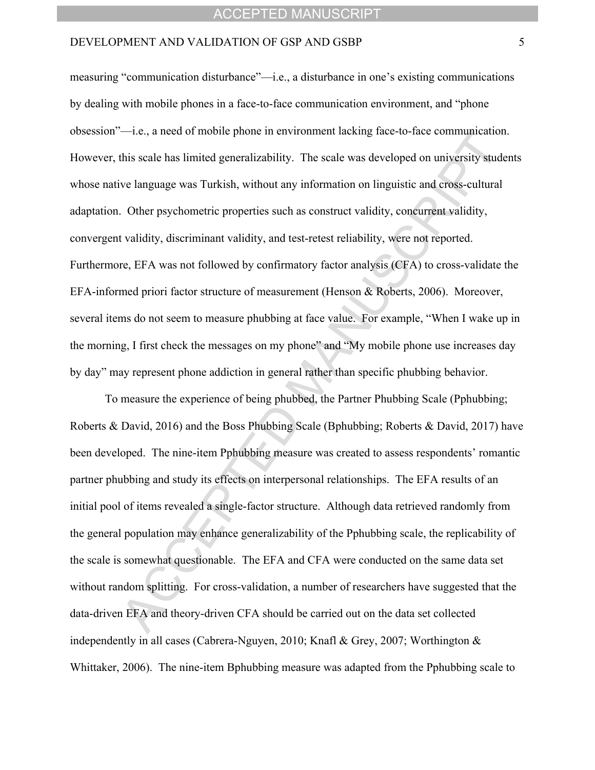#### DEVELOPMENT AND VALIDATION OF GSP AND GSBP 5

measuring "communication disturbance"—i.e., a disturbance in one's existing communications by dealing with mobile phones in a face-to-face communication environment, and "phone" obsession"—i.e., a need of mobile phone in environment lacking face-to-face communication. However, this scale has limited generalizability. The scale was developed on university students whose native language was Turkish, without any information on linguistic and cross-cultural adaptation. Other psychometric properties such as construct validity, concurrent validity, convergent validity, discriminant validity, and test-retest reliability, were not reported. Furthermore, EFA was not followed by confirmatory factor analysis (CFA) to cross-validate the EFA-informed priori factor structure of measurement (Henson & Roberts, 2006). Moreover, several items do not seem to measure phubbing at face value. For example, "When I wake up in the morning, I first check the messages on my phone" and "My mobile phone use increases day" by dayî may represent phone addiction in general rather than specific phubbing behavior.

To measure the experience of being phubbed, the Partner Phubbing Scale (Pphubbing; Roberts & David, 2016) and the Boss Phubbing Scale (Bphubbing; Roberts & David, 2017) have been developed. The nine-item Pphubbing measure was created to assess respondents' romantic partner phubbing and study its effects on interpersonal relationships. The EFA results of an initial pool of items revealed a single-factor structure. Although data retrieved randomly from the general population may enhance generalizability of the Pphubbing scale, the replicability of the scale is somewhat questionable. The EFA and CFA were conducted on the same data set without random splitting. For cross-validation, a number of researchers have suggested that the data-driven EFA and theory-driven CFA should be carried out on the data set collected independently in all cases (Cabrera-Nguyen, 2010; Knafl & Grey, 2007; Worthington & Whittaker, 2006). The nine-item Bphubbing measure was adapted from the Pphubbing scale to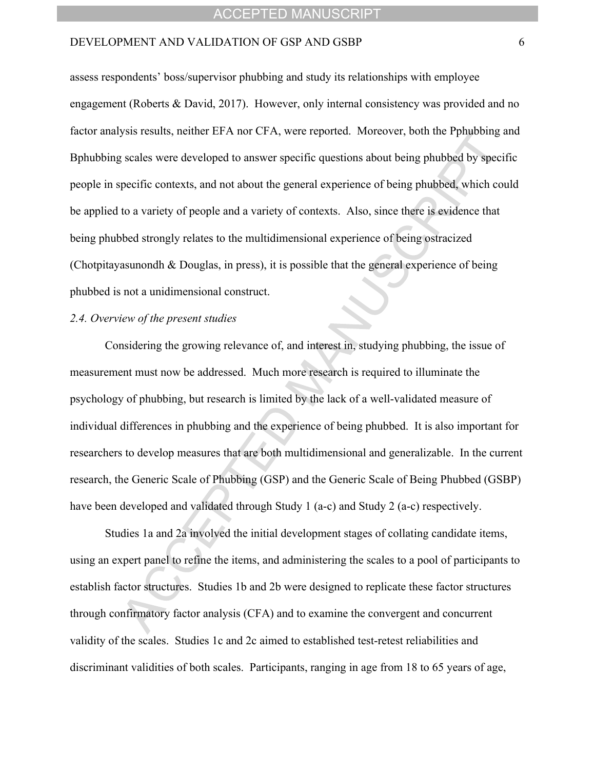#### DEVELOPMENT AND VALIDATION OF GSP AND GSBP 6

assess respondents' boss/supervisor phubbing and study its relationships with employee engagement (Roberts & David, 2017). However, only internal consistency was provided and no factor analysis results, neither EFA nor CFA, were reported. Moreover, both the Pphubbing and Bphubbing scales were developed to answer specific questions about being phubbed by specific people in specific contexts, and not about the general experience of being phubbed, which could be applied to a variety of people and a variety of contexts. Also, since there is evidence that being phubbed strongly relates to the multidimensional experience of being ostracized (Chotpitayasunondh & Douglas, in press), it is possible that the general experience of being phubbed is not a unidimensional construct.

#### *2.4. Overview of the present studies*

Considering the growing relevance of, and interest in, studying phubbing, the issue of measurement must now be addressed. Much more research is required to illuminate the psychology of phubbing, but research is limited by the lack of a well-validated measure of individual differences in phubbing and the experience of being phubbed. It is also important for researchers to develop measures that are both multidimensional and generalizable. In the current research, the Generic Scale of Phubbing (GSP) and the Generic Scale of Being Phubbed (GSBP) have been developed and validated through Study 1 (a-c) and Study 2 (a-c) respectively.

Studies 1a and 2a involved the initial development stages of collating candidate items, using an expert panel to refine the items, and administering the scales to a pool of participants to establish factor structures. Studies 1b and 2b were designed to replicate these factor structures through confirmatory factor analysis (CFA) and to examine the convergent and concurrent validity of the scales. Studies 1c and 2c aimed to established test-retest reliabilities and discriminant validities of both scales. Participants, ranging in age from 18 to 65 years of age,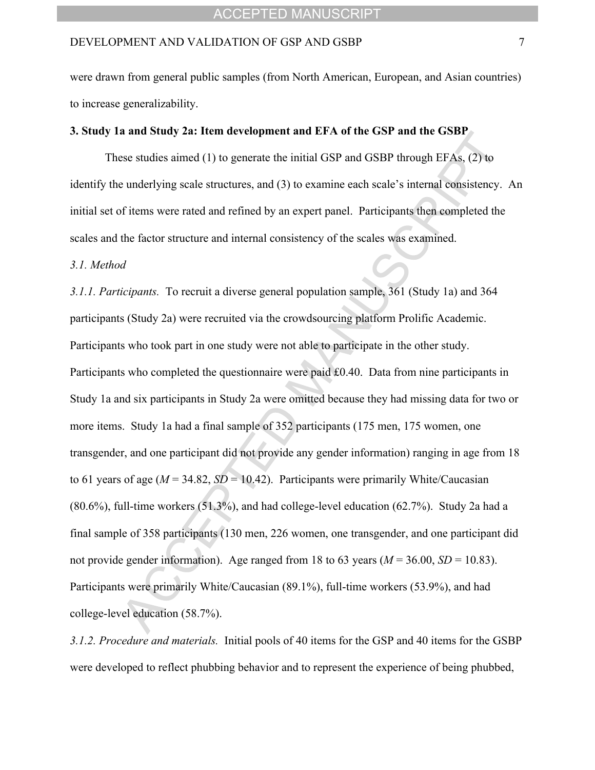were drawn from general public samples (from North American, European, and Asian countries) to increase generalizability.

#### **3. Study 1a and Study 2a: Item development and EFA of the GSP and the GSBP**

These studies aimed (1) to generate the initial GSP and GSBP through EFAs, (2) to identify the underlying scale structures, and (3) to examine each scale's internal consistency. An initial set of items were rated and refined by an expert panel. Participants then completed the scales and the factor structure and internal consistency of the scales was examined.

#### *3.1. Method*

*3.1.1. Participants.* To recruit a diverse general population sample, 361 (Study 1a) and 364 participants (Study 2a) were recruited via the crowdsourcing platform Prolific Academic. Participants who took part in one study were not able to participate in the other study. Participants who completed the questionnaire were paid £0.40. Data from nine participants in Study 1a and six participants in Study 2a were omitted because they had missing data for two or more items. Study 1a had a final sample of 352 participants (175 men, 175 women, one transgender, and one participant did not provide any gender information) ranging in age from 18 to 61 years of age ( $M = 34.82$ ,  $SD = 10.42$ ). Participants were primarily White/Caucasian (80.6%), full-time workers (51.3%), and had college-level education (62.7%). Study 2a had a final sample of 358 participants (130 men, 226 women, one transgender, and one participant did not provide gender information). Age ranged from 18 to 63 years  $(M = 36.00, SD = 10.83)$ . Participants were primarily White/Caucasian (89.1%), full-time workers (53.9%), and had college-level education (58.7%).

*3.1.2. Procedure and materials.* Initial pools of 40 items for the GSP and 40 items for the GSBP were developed to reflect phubbing behavior and to represent the experience of being phubbed,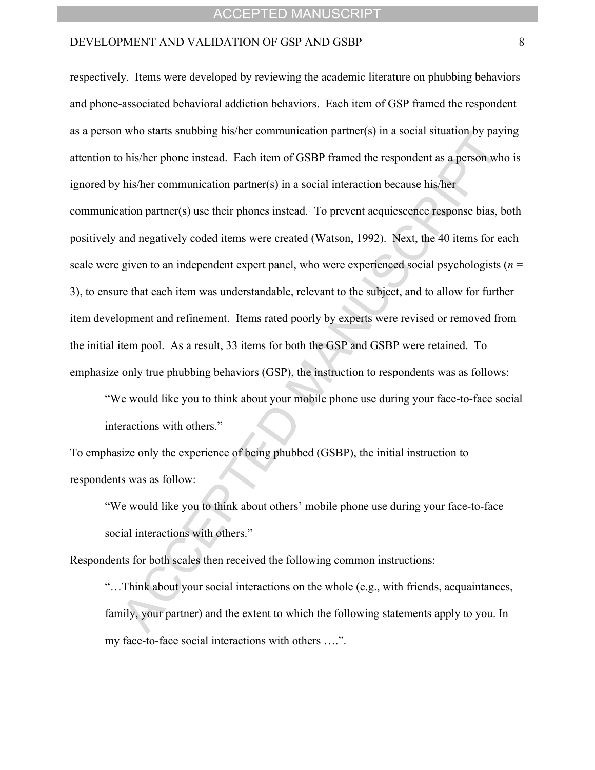#### DEVELOPMENT AND VALIDATION OF GSP AND GSBP 8

respectively. Items were developed by reviewing the academic literature on phubbing behaviors and phone-associated behavioral addiction behaviors. Each item of GSP framed the respondent as a person who starts snubbing his/her communication partner(s) in a social situation by paying attention to his/her phone instead. Each item of GSBP framed the respondent as a person who is ignored by his/her communication partner(s) in a social interaction because his/her

communication partner(s) use their phones instead. To prevent acquiescence response bias, both positively and negatively coded items were created (Watson, 1992). Next, the 40 items for each scale were given to an independent expert panel, who were experienced social psychologists  $(n =$ 3), to ensure that each item was understandable, relevant to the subject, and to allow for further item development and refinement. Items rated poorly by experts were revised or removed from the initial item pool. As a result, 33 items for both the GSP and GSBP were retained. To emphasize only true phubbing behaviors (GSP), the instruction to respondents was as follows:

ìWe would like you to think about your mobile phone use during your face-to-face social interactions with others."

To emphasize only the experience of being phubbed (GSBP), the initial instruction to respondents was as follow:

"We would like you to think about others' mobile phone use during your face-to-face social interactions with others."

Respondents for both scales then received the following common instructions:

ìÖThink about your social interactions on the whole (e.g., with friends, acquaintances, family, your partner) and the extent to which the following statements apply to you. In my face-to-face social interactions with others ....".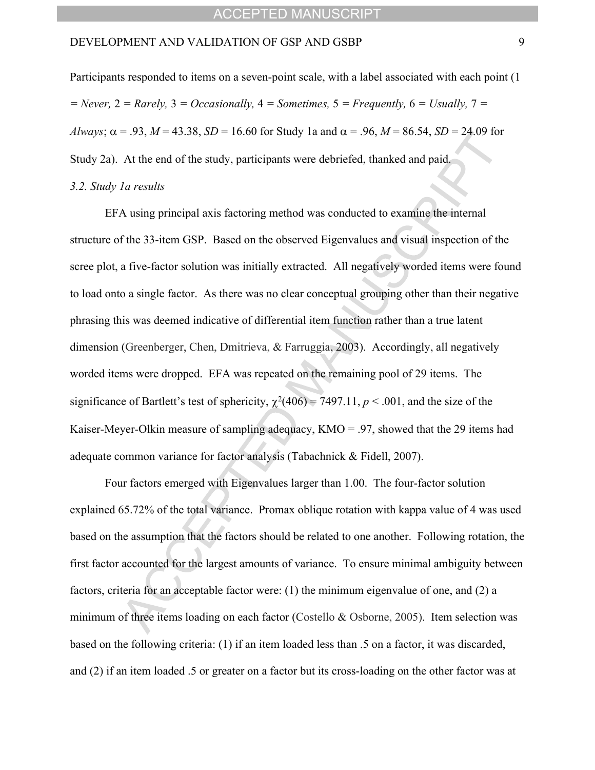Participants responded to items on a seven-point scale, with a label associated with each point (1 *= Never,* 2 *= Rarely,* 3 *= Occasionally,* 4 *= Sometimes,* 5 *= Frequently,* 6 *= Usually,* 7 *= Always*;  $\alpha = .93$ ,  $M = 43.38$ ,  $SD = 16.60$  for Study 1a and  $\alpha = .96$ ,  $M = 86.54$ ,  $SD = 24.09$  for Study 2a). At the end of the study, participants were debriefed, thanked and paid.

#### *3.2. Study 1a results*

EFA using principal axis factoring method was conducted to examine the internal structure of the 33-item GSP. Based on the observed Eigenvalues and visual inspection of the scree plot, a five-factor solution was initially extracted. All negatively worded items were found to load onto a single factor. As there was no clear conceptual grouping other than their negative phrasing this was deemed indicative of differential item function rather than a true latent dimension (Greenberger, Chen, Dmitrieva, & Farruggia, 2003). Accordingly, all negatively worded items were dropped. EFA was repeated on the remaining pool of 29 items. The significance of Bartlett's test of sphericity,  $\chi^2(406) = 7497.11$ ,  $p < .001$ , and the size of the Kaiser-Meyer-Olkin measure of sampling adequacy,  $KMO = 0.97$ , showed that the 29 items had adequate common variance for factor analysis (Tabachnick & Fidell, 2007).

Four factors emerged with Eigenvalues larger than 1.00. The four-factor solution explained 65.72% of the total variance. Promax oblique rotation with kappa value of 4 was used based on the assumption that the factors should be related to one another. Following rotation, the first factor accounted for the largest amounts of variance. To ensure minimal ambiguity between factors, criteria for an acceptable factor were: (1) the minimum eigenvalue of one, and (2) a minimum of three items loading on each factor (Costello & Osborne, 2005). Item selection was based on the following criteria: (1) if an item loaded less than .5 on a factor, it was discarded, and (2) if an item loaded .5 or greater on a factor but its cross-loading on the other factor was at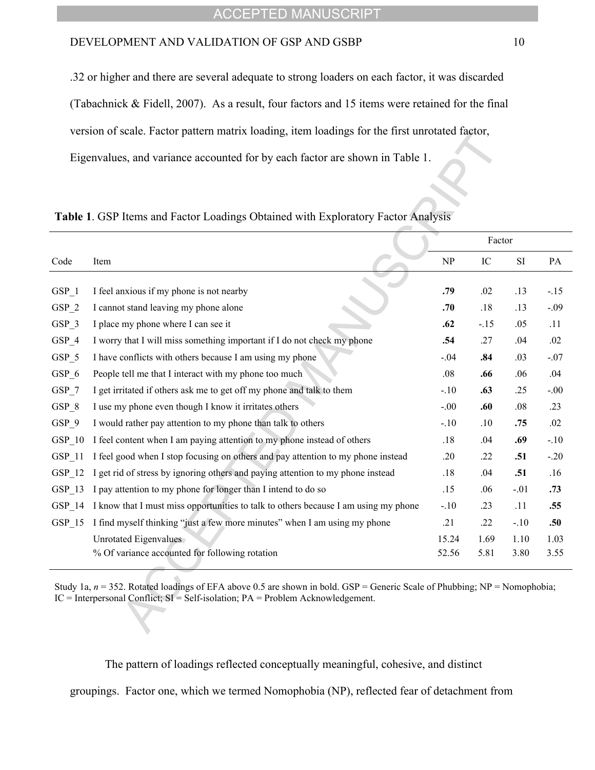#### DEVELOPMENT AND VALIDATION OF GSP AND GSBP 10

.32 or higher and there are several adequate to strong loaders on each factor, it was discarded (Tabachnick & Fidell, 2007). As a result, four factors and 15 items were retained for the final version of scale. Factor pattern matrix loading, item loadings for the first unrotated factor, Eigenvalues, and variance accounted for by each factor are shown in Table 1.

|          |                                                                                     |        | Factor |           |        |
|----------|-------------------------------------------------------------------------------------|--------|--------|-----------|--------|
| Code     | Item                                                                                | NP     | IC     | <b>SI</b> | PA     |
|          |                                                                                     |        |        |           |        |
| GSP 1    | I feel anxious if my phone is not nearby                                            | .79    | .02    | .13       | $-15$  |
| $GSP_2$  | I cannot stand leaving my phone alone                                               | .70    | .18    | .13       | $-.09$ |
| GSP 3    | I place my phone where I can see it                                                 | .62    | $-15$  | .05       | .11    |
| GSP 4    | I worry that I will miss something important if I do not check my phone             | .54    | .27    | .04       | .02    |
| $GSP_5$  | I have conflicts with others because I am using my phone                            | $-.04$ | .84    | .03       | $-.07$ |
| $GSP_6$  | People tell me that I interact with my phone too much                               | .08    | .66    | .06       | .04    |
| $GSP_7$  | I get irritated if others ask me to get off my phone and talk to them               | $-.10$ | .63    | .25       | $-.00$ |
| $GSP_8$  | I use my phone even though I know it irritates others                               | $-.00$ | .60    | .08       | .23    |
| GSP 9    | I would rather pay attention to my phone than talk to others                        | $-.10$ | .10    | .75       | .02    |
| $GSP_10$ | I feel content when I am paying attention to my phone instead of others             | .18    | .04    | .69       | $-.10$ |
| GSP 11   | I feel good when I stop focusing on others and pay attention to my phone instead    | .20    | .22    | .51       | $-.20$ |
| GSP 12   | I get rid of stress by ignoring others and paying attention to my phone instead     | .18    | .04    | .51       | .16    |
| GSP 13   | I pay attention to my phone for longer than I intend to do so                       | .15    | .06    | $-.01$    | .73    |
| GSP 14   | I know that I must miss opportunities to talk to others because I am using my phone | $-.10$ | .23    | .11       | .55    |
| GSP 15   | I find myself thinking "just a few more minutes" when I am using my phone           | .21    | .22    | $-.10$    | .50    |
|          | Unrotated Eigenvalues                                                               | 15.24  | 1.69   | 1.10      | 1.03   |
|          | % Of variance accounted for following rotation                                      | 52.56  | 5.81   | 3.80      | 3.55   |
|          |                                                                                     |        |        |           |        |

Study 1a,  $n = 352$ . Rotated loadings of EFA above 0.5 are shown in bold. GSP = Generic Scale of Phubbing; NP = Nomophobia; IC = Interpersonal Conflict; SI = Self-isolation; PA = Problem Acknowledgement.

The pattern of loadings reflected conceptually meaningful, cohesive, and distinct

groupings. Factor one, which we termed Nomophobia (NP), reflected fear of detachment from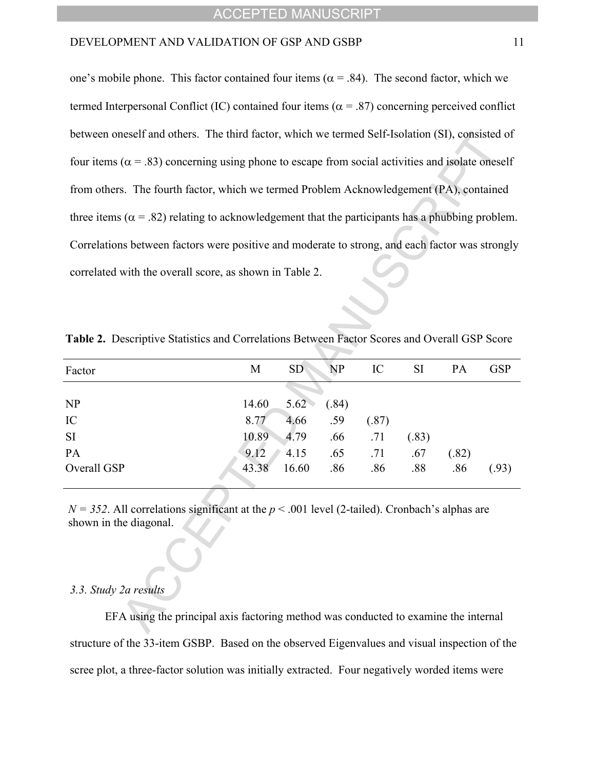one's mobile phone. This factor contained four items ( $\alpha$  = .84). The second factor, which we termed Interpersonal Conflict (IC) contained four items ( $\alpha$  = .87) concerning perceived conflict between oneself and others. The third factor, which we termed Self-Isolation (SI), consisted of four items ( $\alpha$  = .83) concerning using phone to escape from social activities and isolate oneself from others. The fourth factor, which we termed Problem Acknowledgement (PA), contained three items ( $\alpha$  = .82) relating to acknowledgement that the participants has a phubbing problem. Correlations between factors were positive and moderate to strong, and each factor was strongly correlated with the overall score, as shown in Table 2.

| Factor      | <b>SD</b><br><b>NP</b><br>M | IC    | <b>SI</b> | PA    | <b>GSP</b> |
|-------------|-----------------------------|-------|-----------|-------|------------|
|             |                             |       |           |       |            |
| NP          | 14.60<br>5.62<br>(.84)      |       |           |       |            |
| IC          | 4.66<br>.59<br>8.77         | (.87) |           |       |            |
| SI          | 10.89<br>$-4.79$<br>.66     | .71   | (.83)     |       |            |
| PA          | 9.12<br>.65<br>4.15         | .71   | .67       | (.82) |            |
| Overall GSP | 43.38<br>16.60<br>.86       | .86   | .88       | .86   | (.93)      |
|             |                             |       |           |       |            |

**Table 2.** Descriptive Statistics and Correlations Between Factor Scores and Overall GSP Score

 $N = 352$ . All correlations significant at the  $p < .001$  level (2-tailed). Cronbach's alphas are shown in the diagonal.

#### *3.3. Study 2a results*

EFA using the principal axis factoring method was conducted to examine the internal structure of the 33-item GSBP. Based on the observed Eigenvalues and visual inspection of the scree plot, a three-factor solution was initially extracted. Four negatively worded items were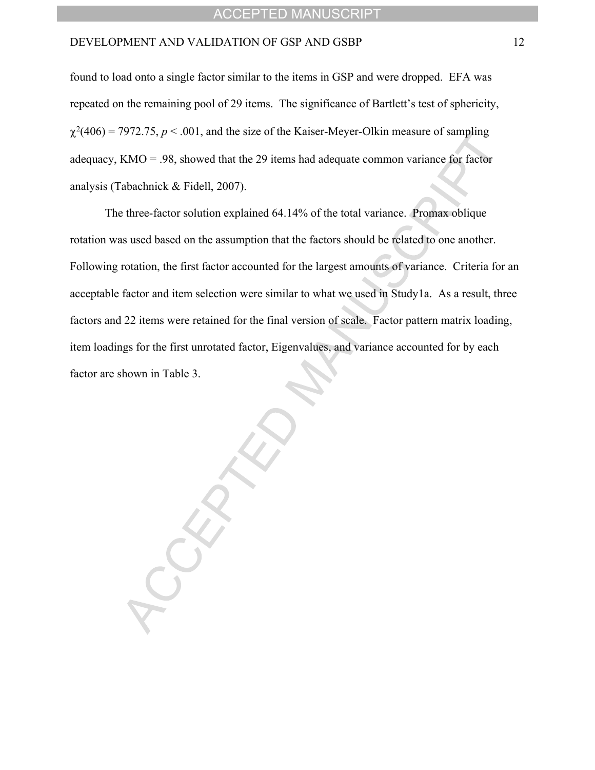found to load onto a single factor similar to the items in GSP and were dropped. EFA was repeated on the remaining pool of 29 items. The significance of Bartlett's test of sphericity,  $\chi^2(406)$  = 7972.75,  $p < .001$ , and the size of the Kaiser-Meyer-Olkin measure of sampling adequacy, KMO = .98, showed that the 29 items had adequate common variance for factor analysis (Tabachnick & Fidell, 2007).

The three-factor solution explained 64.14% of the total variance. Promax oblique rotation was used based on the assumption that the factors should be related to one another. Following rotation, the first factor accounted for the largest amounts of variance. Criteria for an acceptable factor and item selection were similar to what we used in Study1a. As a result, three factors and 22 items were retained for the final version of scale. Factor pattern matrix loading, item loadings for the first unrotated factor, Eigenvalues, and variance accounted for by each factor are shown in Table 3.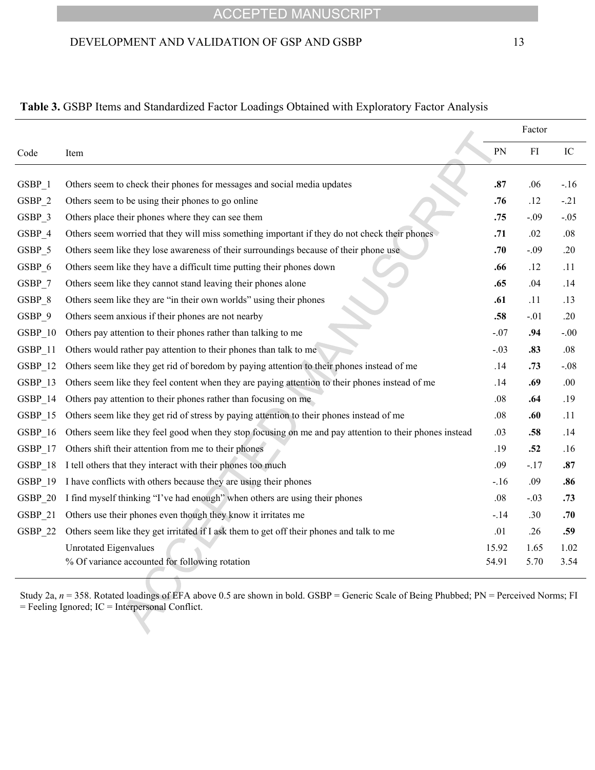#### DEVELOPMENT AND VALIDATION OF GSP AND GSBP 13

#### **Table 3.** GSBP Items and Standardized Factor Loadings Obtained with Exploratory Factor Analysis

|           |                                                                                                         |        | Factor |        |
|-----------|---------------------------------------------------------------------------------------------------------|--------|--------|--------|
| Code      | Item                                                                                                    | PN     | FI     | IC     |
|           |                                                                                                         |        |        |        |
| $GSBP_1$  | Others seem to check their phones for messages and social media updates                                 | .87    | .06    | $-16$  |
| $GSBP_2$  | Others seem to be using their phones to go online                                                       | .76    | .12    | $-.21$ |
| GSBP 3    | Others place their phones where they can see them                                                       | .75    | $-.09$ | $-.05$ |
| GSBP 4    | Others seem worried that they will miss something important if they do not check their phones           | .71    | .02    | .08    |
| GSBP_5    | Others seem like they lose awareness of their surroundings because of their phone use                   | .70    | $-.09$ | .20    |
| GSBP 6    | Others seem like they have a difficult time putting their phones down                                   | .66    | .12    | .11    |
| GSBP 7    | Others seem like they cannot stand leaving their phones alone                                           | .65    | .04    | .14    |
| GSBP 8    | Others seem like they are "in their own worlds" using their phones                                      | .61    | .11    | .13    |
| GSBP 9    | Others seem anxious if their phones are not nearby                                                      | .58    | $-.01$ | .20    |
| GSBP_10   | Others pay attention to their phones rather than talking to me                                          | $-.07$ | .94    | $-.00$ |
| $GSBP_11$ | Others would rather pay attention to their phones than talk to me                                       | $-.03$ | .83    | .08    |
| $GSBP_12$ | Others seem like they get rid of boredom by paying attention to their phones instead of me              | .14    | .73    | $-.08$ |
| GSBP 13   | Others seem like they feel content when they are paying attention to their phones instead of me         | .14    | .69    | .00.   |
| GSBP 14   | Others pay attention to their phones rather than focusing on me                                         | .08    | .64    | .19    |
| $GSBP_15$ | Others seem like they get rid of stress by paying attention to their phones instead of me               | .08    | .60    | .11    |
| GSBP 16   | Others seem like they feel good when they stop focusing on me and pay attention to their phones instead | .03    | .58    | .14    |
| $GSBP_17$ | Others shift their attention from me to their phones                                                    | .19    | .52    | .16    |
| $GSBP_18$ | I tell others that they interact with their phones too much                                             | .09    | $-.17$ | .87    |
| GSBP_19   | I have conflicts with others because they are using their phones                                        | $-16$  | .09    | .86    |
| GSBP 20   | I find myself thinking "I've had enough" when others are using their phones                             | .08    | $-.03$ | .73    |
| GSBP 21   | Others use their phones even though they know it irritates me                                           | $-14$  | .30    | .70    |
| GSBP 22   | Others seem like they get irritated if I ask them to get off their phones and talk to me                | .01    | .26    | .59    |
|           | <b>Unrotated Eigenvalues</b>                                                                            | 15.92  | 1.65   | 1.02   |
|           | % Of variance accounted for following rotation                                                          | 54.91  | 5.70   | 3.54   |
|           |                                                                                                         |        |        |        |

Study 2a,  $n = 358$ . Rotated loadings of EFA above 0.5 are shown in bold. GSBP = Generic Scale of Being Phubbed; PN = Perceived Norms; FI = Feeling Ignored; IC = Interpersonal Conflict.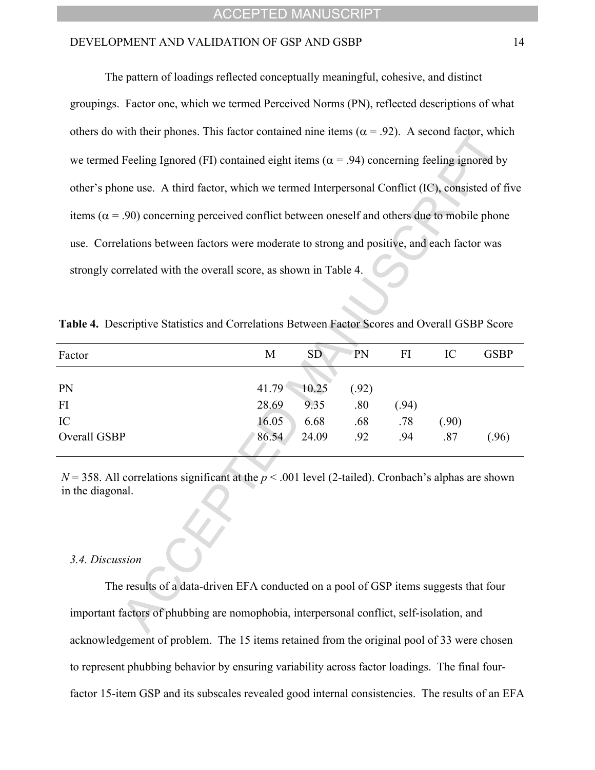The pattern of loadings reflected conceptually meaningful, cohesive, and distinct groupings. Factor one, which we termed Perceived Norms (PN), reflected descriptions of what others do with their phones. This factor contained nine items ( $\alpha$  = .92). A second factor, which we termed Feeling Ignored (FI) contained eight items ( $\alpha$  = .94) concerning feeling ignored by other's phone use. A third factor, which we termed Interpersonal Conflict (IC), consisted of five items ( $\alpha$  = .90) concerning perceived conflict between oneself and others due to mobile phone use. Correlations between factors were moderate to strong and positive, and each factor was strongly correlated with the overall score, as shown in Table 4.

| Factor       | М     | SD <sup></sup> | PN    | FI   | IC   | <b>GSBP</b> |
|--------------|-------|----------------|-------|------|------|-------------|
|              |       |                |       |      |      |             |
| <b>PN</b>    | 41.79 | 10.25          | (.92) |      |      |             |
| FI           | 28.69 | 9.35           | .80   | (94) |      |             |
| IC           | 16.05 | 6.68           | .68   | .78  | (90) |             |
| Overall GSBP | 86.54 | 24.09          | .92   | .94  | .87  | (.96)       |

**Table 4.** Descriptive Statistics and Correlations Between Factor Scores and Overall GSBP Score

 $N = 358$ . All correlations significant at the  $p < .001$  level (2-tailed). Cronbach's alphas are shown in the diagonal.

#### *3.4. Discussion*

The results of a data-driven EFA conducted on a pool of GSP items suggests that four important factors of phubbing are nomophobia, interpersonal conflict, self-isolation, and acknowledgement of problem. The 15 items retained from the original pool of 33 were chosen to represent phubbing behavior by ensuring variability across factor loadings. The final fourfactor 15-item GSP and its subscales revealed good internal consistencies. The results of an EFA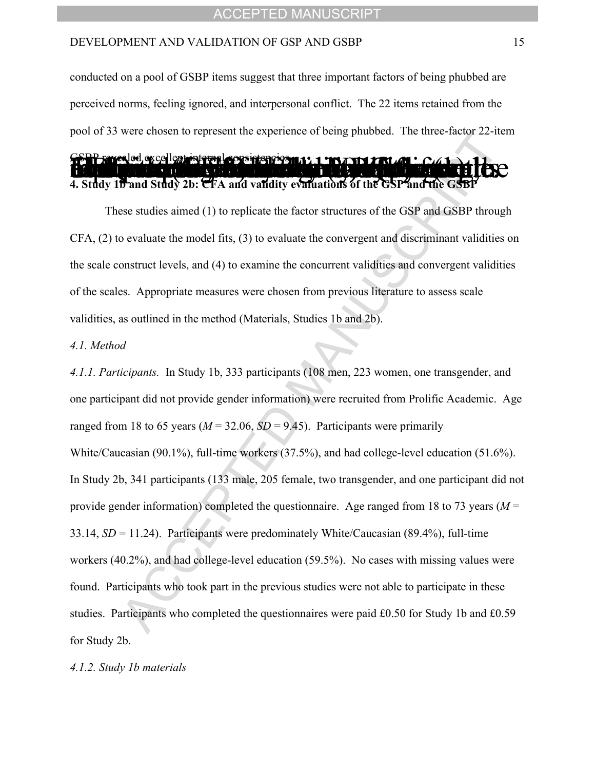conducted on a pool of GSBP items suggest that three important factors of being phubbed are perceived norms, feeling ignored, and interpersonal conflict. The 22 items retained from the pool of 33 were chosen to represent the experience of being phubbed. The three-factor 22-item

# **PP sawealed, excellent internal consistence on a 1 and a final data 4. Study 1b and Study 2b: CFA and validity evaluations of the GSP and the GS**

These studies aimed (1) to replicate the factor structures of the GSP and GSBP through CFA, (2) to evaluate the model fits, (3) to evaluate the convergent and discriminant validities on the scale construct levels, and (4) to examine the concurrent validities and convergent validities of the scales. Appropriate measures were chosen from previous literature to assess scale validities, as outlined in the method (Materials, Studies 1b and 2b).

#### *4.1. Method*

*4.1.1. Participants.* In Study 1b, 333 participants (108 men, 223 women, one transgender, and one participant did not provide gender information) were recruited from Prolific Academic. Age ranged from 18 to 65 years ( $M = 32.06$ ,  $SD = 9.45$ ). Participants were primarily White/Caucasian (90.1%), full-time workers (37.5%), and had college-level education (51.6%). In Study 2b, 341 participants (133 male, 205 female, two transgender, and one participant did not provide gender information) completed the questionnaire. Age ranged from 18 to 73 years (*M* = 33.14, *SD* = 11.24). Participants were predominately White/Caucasian (89.4%), full-time workers (40.2%), and had college-level education (59.5%). No cases with missing values were found. Participants who took part in the previous studies were not able to participate in these studies. Participants who completed the questionnaires were paid £0.50 for Study 1b and £0.59 for Study 2b.

#### *4.1.2. Study 1b materials*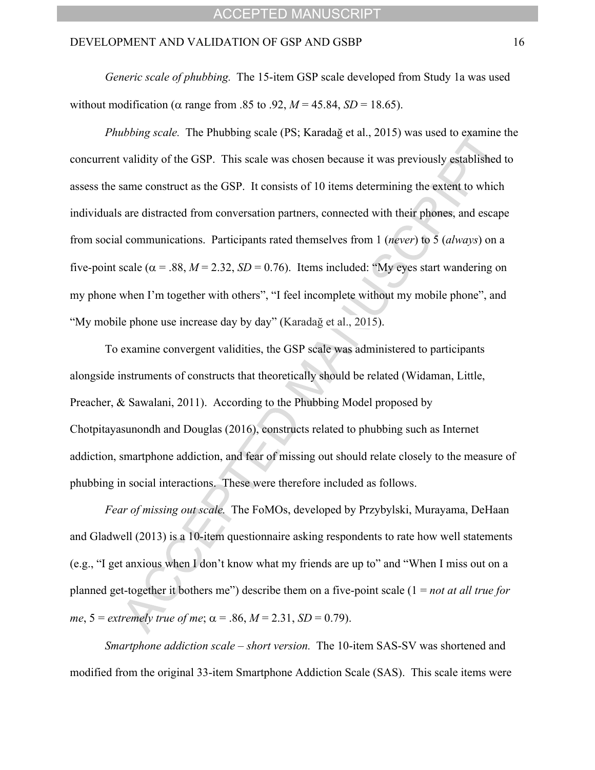*Generic scale of phubbing.* The 15-item GSP scale developed from Study 1a was used without modification ( $\alpha$  range from .85 to .92,  $M = 45.84$ ,  $SD = 18.65$ ).

*Phubbing scale.* The Phubbing scale (PS; Karadağ et al., 2015) was used to examine the concurrent validity of the GSP. This scale was chosen because it was previously established to assess the same construct as the GSP. It consists of 10 items determining the extent to which individuals are distracted from conversation partners, connected with their phones, and escape from social communications. Participants rated themselves from 1 (*never*) to 5 (*always*) on a five-point scale ( $\alpha$  = .88, *M* = 2.32, *SD* = 0.76). Items included: "My eyes start wandering on my phone when I'm together with others", "I feel incomplete without my mobile phone", and ìMy mobile phone use increase day by dayî (Karadağ et al., 2015).

To examine convergent validities, the GSP scale was administered to participants alongside instruments of constructs that theoretically should be related (Widaman, Little, Preacher, & Sawalani, 2011). According to the Phubbing Model proposed by Chotpitayasunondh and Douglas (2016), constructs related to phubbing such as Internet addiction, smartphone addiction, and fear of missing out should relate closely to the measure of phubbing in social interactions. These were therefore included as follows.

*Fear of missing out scale.* The FoMOs, developed by Przybylski, Murayama, DeHaan and Gladwell (2013) is a 10-item questionnaire asking respondents to rate how well statements (e.g.,  $\degree$ I get anxious when I don't know what my friends are up to $\degree$  and  $\degree$ When I miss out on a planned get-together it bothers me") describe them on a five-point scale  $(1 = not at all true for)$ *me*,  $5 =$  *extremely true of me*;  $\alpha = .86$ ,  $M = 2.31$ ,  $SD = 0.79$ ).

*Smartphone addiction scale – short version.* The 10-item SAS-SV was shortened and modified from the original 33-item Smartphone Addiction Scale (SAS). This scale items were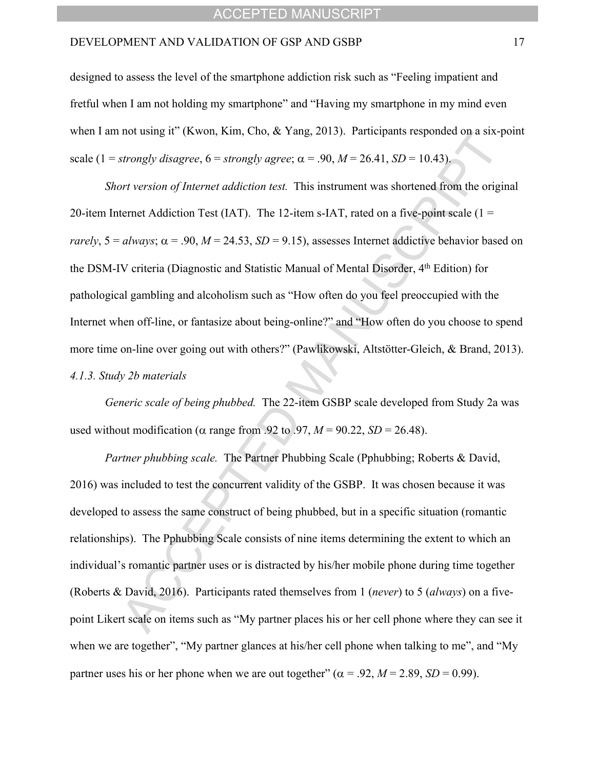designed to assess the level of the smartphone addiction risk such as "Feeling impatient and fretful when I am not holding my smartphone" and "Having my smartphone in my mind even when I am not using it" (Kwon, Kim, Cho, & Yang, 2013). Participants responded on a six-point scale (1 = *strongly disagree*,  $6 =$  *strongly agree*;  $\alpha = .90$ ,  $M = 26.41$ ,  $SD = 10.43$ ).

*Short version of Internet addiction test.* This instrument was shortened from the original 20-item Internet Addiction Test (IAT). The 12-item s-IAT, rated on a five-point scale ( $1 =$ *rarely*,  $5 = \frac{always}{.}$   $\alpha = .90$ ,  $M = 24.53$ ,  $SD = 9.15$ ), assesses Internet addictive behavior based on the DSM-IV criteria (Diagnostic and Statistic Manual of Mental Disorder, 4<sup>th</sup> Edition) for pathological gambling and alcoholism such as "How often do you feel preoccupied with the Internet when off-line, or fantasize about being-online?" and "How often do you choose to spend more time on-line over going out with others?" (Pawlikowski, Altstötter-Gleich, & Brand, 2013). *4.1.3. Study 2b materials*

*Generic scale of being phubbed.*The 22-item GSBP scale developed from Study 2a was used without modification ( $\alpha$  range from .92 to .97,  $M = 90.22$ ,  $SD = 26.48$ ).

*Partner phubbing scale.* The Partner Phubbing Scale (Pphubbing; Roberts & David, 2016) was included to test the concurrent validity of the GSBP. It was chosen because it was developed to assess the same construct of being phubbed, but in a specific situation (romantic relationships). The Pphubbing Scale consists of nine items determining the extent to which an individual's romantic partner uses or is distracted by his/her mobile phone during time together (Roberts & David, 2016). Participants rated themselves from 1 (*never*) to 5 (*always*) on a fivepoint Likert scale on items such as "My partner places his or her cell phone where they can see it when we are together", "My partner glances at his/her cell phone when talking to me", and "My partner uses his or her phone when we are out together" ( $\alpha$  = .92, *M* = 2.89, *SD* = 0.99).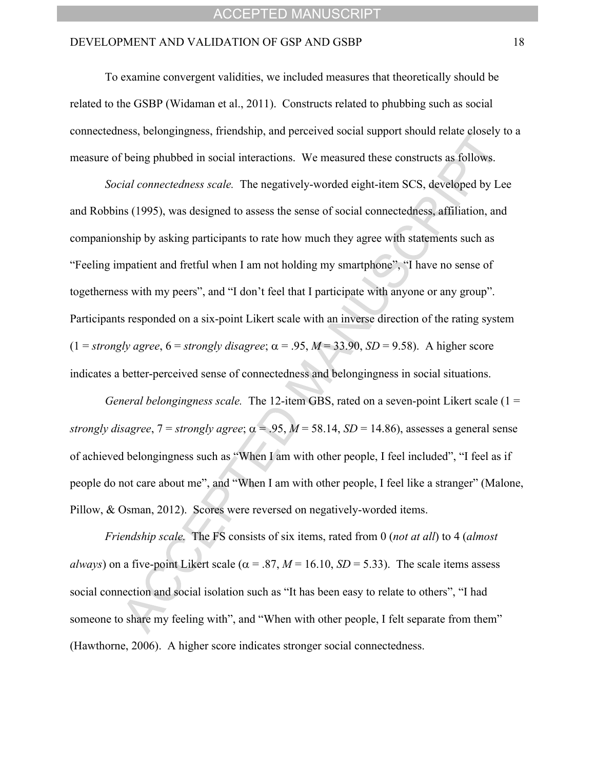To examine convergent validities, we included measures that theoretically should be related to the GSBP (Widaman et al., 2011). Constructs related to phubbing such as social connectedness, belongingness, friendship, and perceived social support should relate closely to a measure of being phubbed in social interactions. We measured these constructs as follows.

*Social connectedness scale.*The negatively-worded eight-item SCS, developed by Lee and Robbins (1995), was designed to assess the sense of social connectedness, affiliation, and companionship by asking participants to rate how much they agree with statements such as "Feeling impatient and fretful when I am not holding my smartphone", "I have no sense of togetherness with my peers", and "I don't feel that I participate with anyone or any group". Participants responded on a six-point Likert scale with an inverse direction of the rating system  $(1 = \text{strongly agree}, 6 = \text{strongly disagree}; \alpha = .95, M = 33.90, SD = 9.58)$ . A higher score indicates a better-perceived sense of connectedness and belongingness in social situations.

*General belongingness scale.* The 12-item GBS, rated on a seven-point Likert scale (1 = *strongly disagree*,  $7 =$  *strongly agree*;  $\alpha = .95$ ,  $M = 58.14$ ,  $SD = 14.86$ ), assesses a general sense of achieved belongingness such as "When I am with other people, I feel included", "I feel as if people do not care about me", and "When I am with other people, I feel like a stranger" (Malone, Pillow, & Osman, 2012). Scores were reversed on negatively-worded items.

*Friendship scale.* The FS consists of six items, rated from 0 (*not at all*) to 4 (*almost always*) on a five-point Likert scale ( $\alpha$  = .87, *M* = 16.10, *SD* = 5.33). The scale items assess social connection and social isolation such as "It has been easy to relate to others", "I had someone to share my feeling with", and "When with other people, I felt separate from them" (Hawthorne, 2006). A higher score indicates stronger social connectedness.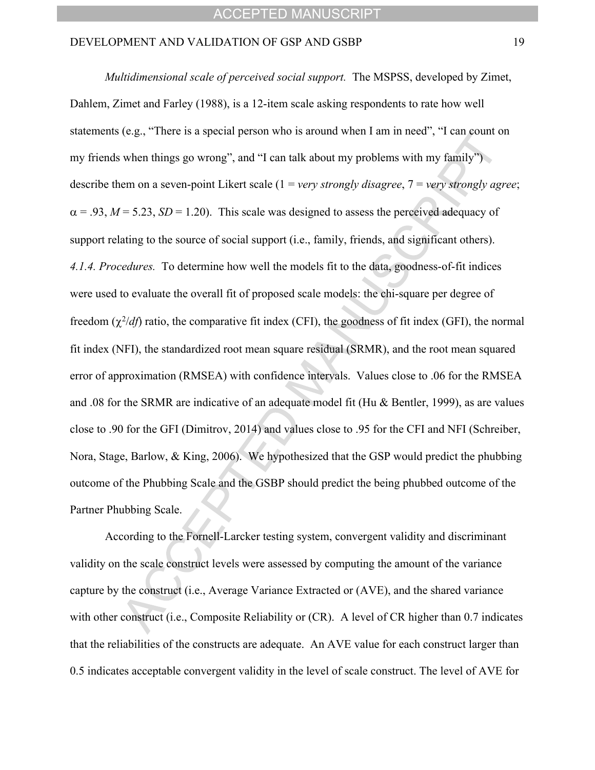*Multidimensional scale of perceived social support.* The MSPSS, developed by Zimet, Dahlem, Zimet and Farley (1988), is a 12-item scale asking respondents to rate how well statements (e.g., "There is a special person who is around when I am in need", "I can count on my friends when things go wrong", and "I can talk about my problems with my family") describe them on a seven-point Likert scale (1 = *very strongly disagree*, 7 = *very strongly agree*;  $\alpha$  = .93, *M* = 5.23, *SD* = 1.20). This scale was designed to assess the perceived adequacy of support relating to the source of social support (i.e., family, friends, and significant others). *4.1.4. Procedures.* To determine how well the models fit to the data, goodness-of-fit indices were used to evaluate the overall fit of proposed scale models: the chi-square per degree of freedom  $(\chi^2/df)$  ratio, the comparative fit index (CFI), the goodness of fit index (GFI), the normal fit index (NFI), the standardized root mean square residual (SRMR), and the root mean squared error of approximation (RMSEA) with confidence intervals. Values close to .06 for the RMSEA and .08 for the SRMR are indicative of an adequate model fit (Hu & Bentler, 1999), as are values close to .90 for the GFI (Dimitrov, 2014) and values close to .95 for the CFI and NFI (Schreiber, Nora, Stage, Barlow, & King, 2006). We hypothesized that the GSP would predict the phubbing outcome of the Phubbing Scale and the GSBP should predict the being phubbed outcome of the Partner Phubbing Scale.

According to the Fornell-Larcker testing system, convergent validity and discriminant validity on the scale construct levels were assessed by computing the amount of the variance capture by the construct (i.e., Average Variance Extracted or (AVE), and the shared variance with other construct (i.e., Composite Reliability or (CR). A level of CR higher than 0.7 indicates that the reliabilities of the constructs are adequate. An AVE value for each construct larger than 0.5 indicates acceptable convergent validity in the level of scale construct. The level of AVE for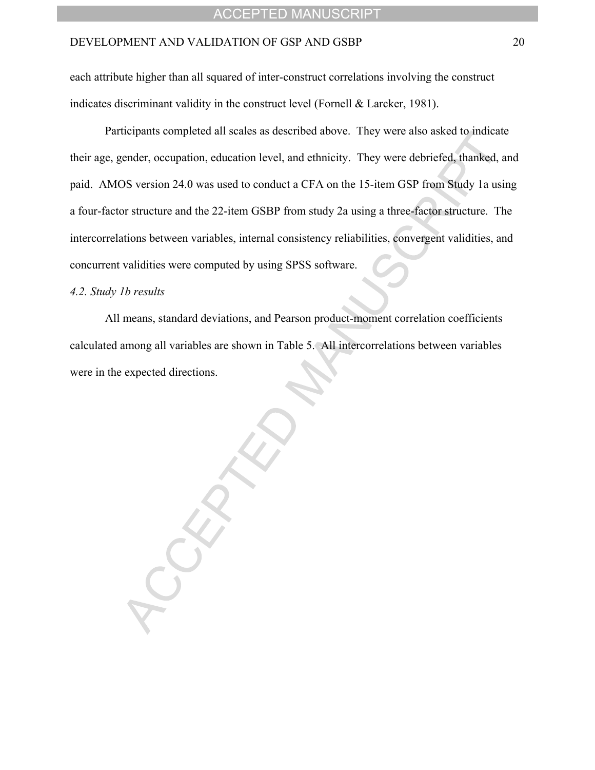each attribute higher than all squared of inter-construct correlations involving the construct indicates discriminant validity in the construct level (Fornell & Larcker, 1981).

Participants completed all scales as described above. They were also asked to indicate their age, gender, occupation, education level, and ethnicity. They were debriefed, thanked, and paid. AMOS version 24.0 was used to conduct a CFA on the 15-item GSP from Study 1a using a four-factor structure and the 22-item GSBP from study 2a using a three-factor structure. The intercorrelations between variables, internal consistency reliabilities, convergent validities, and concurrent validities were computed by using SPSS software.

#### *4.2. Study 1b results*

All means, standard deviations, and Pearson product-moment correlation coefficients calculated among all variables are shown in Table 5. All intercorrelations between variables were in the expected directions.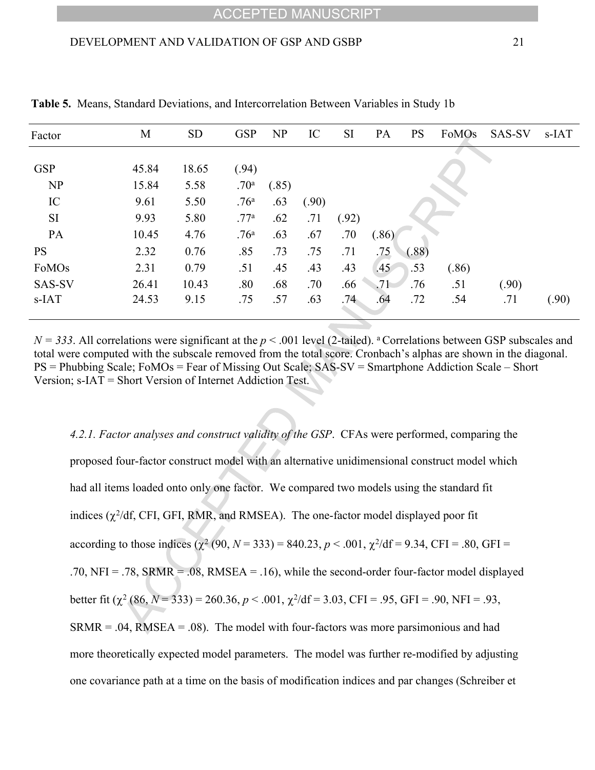| Factor     | M     | <b>SD</b> | <b>GSP</b>       | <b>NP</b> | IC    | <b>SI</b> | PA    | <b>PS</b> | FoMOs | SAS-SV | s-IAT |
|------------|-------|-----------|------------------|-----------|-------|-----------|-------|-----------|-------|--------|-------|
|            |       |           |                  |           |       |           |       |           |       |        |       |
| <b>GSP</b> | 45.84 | 18.65     | (.94)            |           |       |           |       |           |       |        |       |
| <b>NP</b>  | 15.84 | 5.58      | .70 <sup>a</sup> | (.85)     |       |           |       |           |       |        |       |
| IC         | 9.61  | 5.50      | .76 <sup>a</sup> | .63       | (.90) |           |       |           |       |        |       |
| <b>SI</b>  | 9.93  | 5.80      | .77 <sup>a</sup> | .62       | .71   | (.92)     |       |           |       |        |       |
| PA         | 10.45 | 4.76      | .76 <sup>a</sup> | .63       | .67   | .70       | (.86) |           |       |        |       |
| <b>PS</b>  | 2.32  | 0.76      | .85              | .73       | .75   | .71       | .75   | (.88)     |       |        |       |
| FoMOs      | 2.31  | 0.79      | .51              | .45       | .43   | .43       | .45   | .53       | (.86) |        |       |
| SAS-SV     | 26.41 | 10.43     | .80              | .68       | .70   | .66       | .71   | .76       | .51   | (.90)  |       |
| s-IAT      | 24.53 | 9.15      | .75              | .57       | .63   | .74       | .64   | .72       | .54   | .71    | (.90) |

**Table 5.** Means, Standard Deviations, and Intercorrelation Between Variables in Study 1b

 $N = 333$ . All correlations were significant at the  $p < .001$  level (2-tailed). <sup>a</sup> Correlations between GSP subscales and total were computed with the subscale removed from the total score. Cronbach's alphas are shown in the diagonal.  $PS =$  Phubbing Scale; FoMOs = Fear of Missing Out Scale; SAS-SV = Smartphone Addiction Scale – Short Version; s-IAT = Short Version of Internet Addiction Test.

*4.2.1. Factor analyses and construct validity of the GSP*. CFAs were performed, comparing the proposed four-factor construct model with an alternative unidimensional construct model which had all items loaded onto only one factor. We compared two models using the standard fit indices  $(\chi^2/df)$ , CFI, GFI, RMR, and RMSEA). The one-factor model displayed poor fit according to those indices  $(\chi^2 (90, N = 333) = 840.23, p < .001, \chi^2/df = 9.34, CFI = .80, GFI =$ .70,  $NFI = .78$ ,  $SRMR = .08$ ,  $RMSEA = .16$ ), while the second-order four-factor model displayed better fit  $(\chi^2 (86, N = 333) = 260.36, p < .001, \chi^2/df = 3.03, CFI = .95, GFI = .90, NFI = .93,$  $SRMR = .04$ ,  $RMSEA = .08$ ). The model with four-factors was more parsimonious and had more theoretically expected model parameters. The model was further re-modified by adjusting one covariance path at a time on the basis of modification indices and par changes (Schreiber et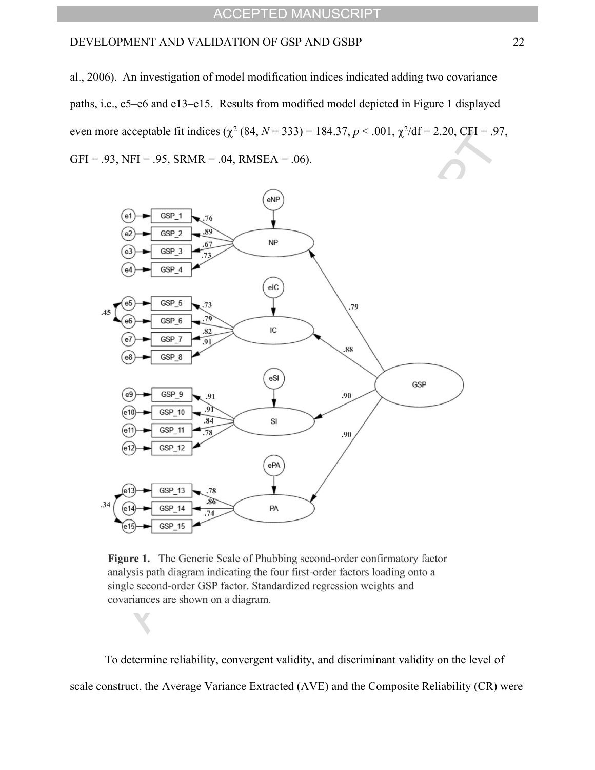al., 2006). An investigation of model modification indices indicated adding two covariance paths, i.e., e5-e6 and e13-e15. Results from modified model depicted in Figure 1 displayed even more acceptable fit indices  $(\chi^2 (84, N = 333) = 184.37, p < .001, \chi^2/df = 2.20, CFI = .97,$  $GFI = .93$ ,  $NFI = .95$ ,  $SRMR = .04$ ,  $RMSEA = .06$ ).



Figure 1. The Generic Scale of Phubbing second-order confirmatory factor analysis path diagram indicating the four first-order factors loading onto a single second-order GSP factor. Standardized regression weights and covariances are shown on a diagram.

To determine reliability, convergent validity, and discriminant validity on the level of scale construct, the Average Variance Extracted (AVE) and the Composite Reliability (CR) were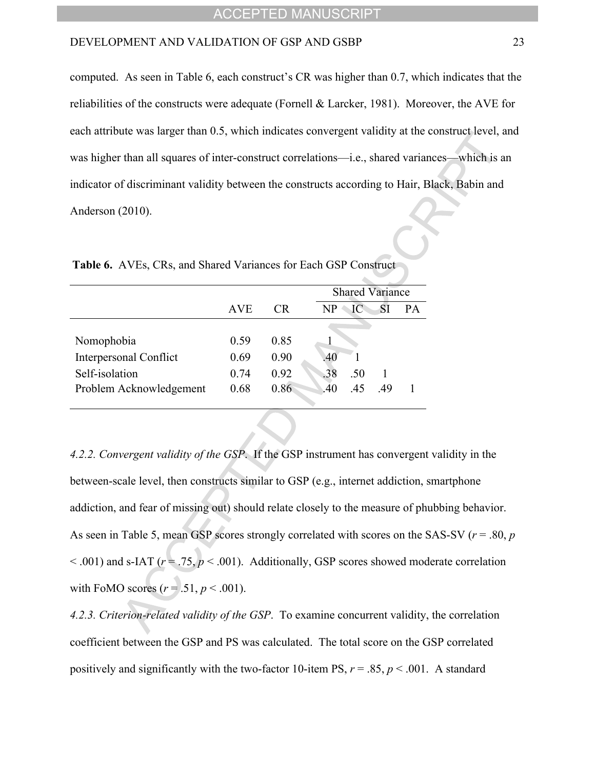computed. As seen in Table 6, each construct's CR was higher than  $0.7$ , which indicates that the reliabilities of the constructs were adequate (Fornell & Larcker, 1981). Moreover, the AVE for each attribute was larger than 0.5, which indicates convergent validity at the construct level, and was higher than all squares of inter-construct correlations—i.e., shared variances—which is an indicator of discriminant validity between the constructs according to Hair, Black, Babin and Anderson (2010).

|                               |      |           |               | <b>Shared Variance</b> |     |    |
|-------------------------------|------|-----------|---------------|------------------------|-----|----|
|                               | AVE  | <b>CR</b> | $\mathbf{NP}$ | IС                     | SI  | PА |
|                               |      |           |               |                        |     |    |
| Nomophobia                    | 0.59 | 0.85      |               |                        |     |    |
| <b>Interpersonal Conflict</b> | 0.69 | 0.90      | .40           |                        |     |    |
| Self-isolation                | 0.74 | 0.92      | .38           | .50                    |     |    |
| Problem Acknowledgement       | 0.68 | 0.86      | .40           | .45                    | -49 |    |
|                               |      |           |               |                        |     |    |

**Table 6.** AVEs, CRs, and Shared Variances for Each GSP Construct

*4.2.2. Convergent validity of the GSP*. If the GSP instrument has convergent validity in the between-scale level, then constructs similar to GSP (e.g., internet addiction, smartphone addiction, and fear of missing out) should relate closely to the measure of phubbing behavior. As seen in Table 5, mean GSP scores strongly correlated with scores on the SAS-SV (*r* = .80, *p*  $< .001$ ) and s-IAT ( $r = .75$ ,  $p < .001$ ). Additionally, GSP scores showed moderate correlation with FoMO scores  $(r = .51, p < .001)$ .

*4.2.3. Criterion-related validity of the GSP*. To examine concurrent validity, the correlation coefficient between the GSP and PS was calculated. The total score on the GSP correlated positively and significantly with the two-factor 10-item PS,  $r = .85$ ,  $p < .001$ . A standard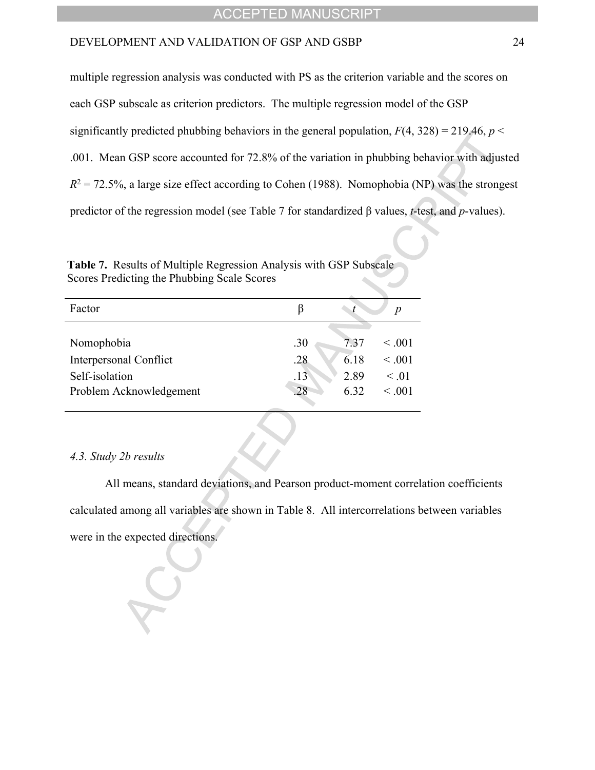multiple regression analysis was conducted with PS as the criterion variable and the scores on

each GSP subscale as criterion predictors. The multiple regression model of the GSP

significantly predicted phubbing behaviors in the general population,  $F(4, 328) = 219.46$ ,  $p <$ 

.001. Mean GSP score accounted for 72.8% of the variation in phubbing behavior with adjusted

 $R^2 = 72.5\%$ , a large size effect according to Cohen (1988). Nomophobia (NP) was the strongest

predictor of the regression model (see Table 7 for standardized β values, *t*-test, and *p*-values).

**Table 7.** Results of Multiple Regression Analysis with GSP Subscale Scores Predicting the Phubbing Scale Scores

| Factor                        |     |      | $\boldsymbol{p}$ |
|-------------------------------|-----|------|------------------|
|                               |     |      |                  |
| Nomophobia                    | .30 | 737  | ~< 0.01          |
| <b>Interpersonal Conflict</b> | .28 | 6.18 | $\leq .001$      |
| Self-isolation                | .13 | 2.89 | $\leq 0.01$      |
| Problem Acknowledgement       | 28  | 6.32 | < 0.01           |
|                               |     |      |                  |

#### *4.3. Study 2b results*

All means, standard deviations, and Pearson product-moment correlation coefficients calculated among all variables are shown in Table 8. All intercorrelations between variables were in the expected directions.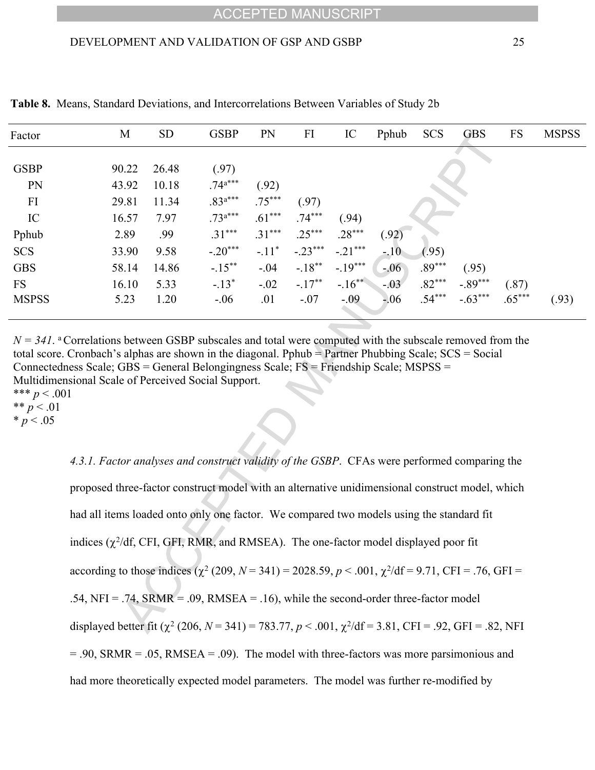| Factor       | M     | <b>SD</b> | <b>GSBP</b>  | <b>PN</b> | FI        | IC         | Pphub   | <b>SCS</b> | <b>GBS</b> | <b>FS</b> | <b>MSPSS</b> |
|--------------|-------|-----------|--------------|-----------|-----------|------------|---------|------------|------------|-----------|--------------|
|              |       |           |              |           |           |            |         |            |            |           |              |
| <b>GSBP</b>  | 90.22 | 26.48     | (.97)        |           |           |            |         |            |            |           |              |
| <b>PN</b>    | 43.92 | 10.18     | $.74^{a***}$ | (.92)     |           |            |         |            |            |           |              |
| FI           | 29.81 | 11.34     | $.83^{a***}$ | $.75***$  | (.97)     |            |         |            |            |           |              |
| IC           | 16.57 | 7.97      | $.73^{a***}$ | $.61***$  | $.74***$  | (.94)      |         |            |            |           |              |
| Pphub        | 2.89  | .99       | $.31***$     | $.31***$  | $.25***$  | $.28***$   | (.92)   |            |            |           |              |
| <b>SCS</b>   | 33.90 | 9.58      | $-.20***$    | $-.11*$   | $-.23***$ | $-.21***$  | $-.10$  | (.95)      |            |           |              |
| <b>GBS</b>   | 58.14 | 14.86     | $-.15***$    | $-.04$    | $-.18***$ | $-19***$   | $-.06$  | $.89***$   | (.95)      |           |              |
| <b>FS</b>    | 16.10 | 5.33      | $-.13*$      | $-.02$    | $-.17***$ | $-16^{**}$ | $-0.03$ | $.82***$   | $-.89***$  | (.87)     |              |
| <b>MSPSS</b> | 5.23  | 1.20      | $-06$        | .01       | $-.07$    | $-.09$     | $-0.06$ | $.54***$   | $-.63***$  | $.65***$  | (.93)        |
|              |       |           |              |           |           |            |         |            |            |           |              |

**Table 8.** Means, Standard Deviations, and Intercorrelations Between Variables of Study 2b

 $N = 341$ . <sup>a</sup> Correlations between GSBP subscales and total were computed with the subscale removed from the total score. Cronbach's alphas are shown in the diagonal. Pphub = Partner Phubbing Scale;  $SCS = Social$ Connectedness Scale; GBS = General Belongingness Scale; FS = Friendship Scale; MSPSS = Multidimensional Scale of Perceived Social Support. \*\*\*  $p < .001$ \*\*  $p < .01$ 

*4.3.1. Factor analyses and construct validity of the GSBP*. CFAs were performed comparing the proposed three-factor construct model with an alternative unidimensional construct model, which had all items loaded onto only one factor. We compared two models using the standard fit indices  $(\chi^2/df)$ , CFI, GFI, RMR, and RMSEA). The one-factor model displayed poor fit according to those indices  $(\chi^2 (209, N = 341) = 2028.59, p < .001, \chi^2/df = 9.71, CFI = .76, GFI =$ .54,  $NFI = .74$ ,  $SRMR = .09$ ,  $RMSEA = .16$ ), while the second-order three-factor model displayed better fit  $(\chi^2 (206, N = 341) = 783.77, p < .001, \chi^2/df = 3.81, CFI = .92, GFI = .82, NFI$  $= .90$ , SRMR  $= .05$ , RMSEA  $= .09$ ). The model with three-factors was more parsimonious and had more theoretically expected model parameters. The model was further re-modified by

 $* p < .05$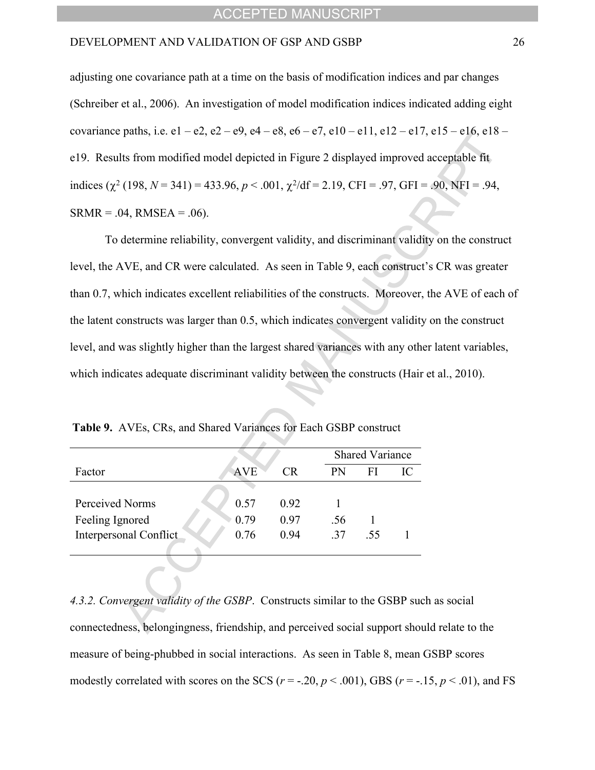adjusting one covariance path at a time on the basis of modification indices and par changes (Schreiber et al., 2006). An investigation of model modification indices indicated adding eight covariance paths, i.e.  $e1 - e2$ ,  $e2 - e9$ ,  $e4 - e8$ ,  $e6 - e7$ ,  $e10 - e11$ ,  $e12 - e17$ ,  $e15 - e16$ ,  $e18 - e16$ e19. Results from modified model depicted in Figure 2 displayed improved acceptable fit indices ( $\chi^2$  (198, *N* = 341) = 433.96, *p* < .001,  $\chi^2$ /df = 2.19, CFI = .97, GFI = .90, NFI = .94,  $SRMR = .04$ ,  $RMSEA = .06$ ).

To determine reliability, convergent validity, and discriminant validity on the construct level, the AVE, and CR were calculated. As seen in Table 9, each construct's CR was greater than 0.7, which indicates excellent reliabilities of the constructs. Moreover, the AVE of each of the latent constructs was larger than 0.5, which indicates convergent validity on the construct level, and was slightly higher than the largest shared variances with any other latent variables, which indicates adequate discriminant validity between the constructs (Hair et al., 2010).

|                               |            |      | <b>Shared Variance</b> |     |  |
|-------------------------------|------------|------|------------------------|-----|--|
| Factor                        | <b>AVE</b> | CR.  | <b>PN</b>              | FI  |  |
|                               |            |      |                        |     |  |
| Perceived Norms               | 0.57       | 0.92 |                        |     |  |
| Feeling Ignored               | 0.79       | 0.97 | .56                    |     |  |
| <b>Interpersonal Conflict</b> | 0.76       | 0.94 | 37                     | -55 |  |
|                               |            |      |                        |     |  |

**Table 9.** AVEs, CRs, and Shared Variances for Each GSBP construct

*4.3.2. Convergent validity of the GSBP*. Constructs similar to the GSBP such as social connectedness, belongingness, friendship, and perceived social support should relate to the measure of being-phubbed in social interactions. As seen in Table 8, mean GSBP scores modestly correlated with scores on the SCS ( $r = -0.20$ ,  $p < 0.001$ ), GBS ( $r = -0.15$ ,  $p < 0.01$ ), and FS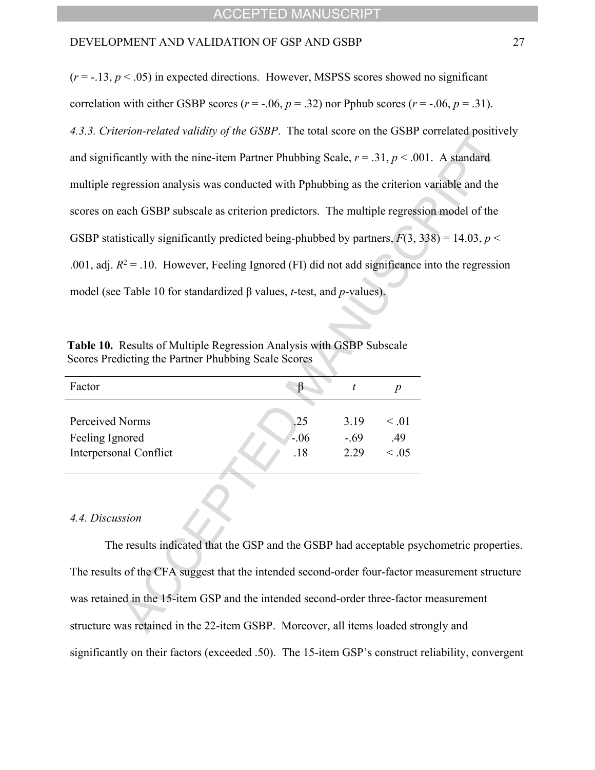$(r = -13, p < 0.05)$  in expected directions. However, MSPSS scores showed no significant correlation with either GSBP scores ( $r = -.06$ ,  $p = .32$ ) nor Pphub scores ( $r = -.06$ ,  $p = .31$ ). *4.3.3. Criterion-related validity of the GSBP*. The total score on the GSBP correlated positively and significantly with the nine-item Partner Phubbing Scale,  $r = .31$ ,  $p < .001$ . A standard multiple regression analysis was conducted with Pphubbing as the criterion variable and the scores on each GSBP subscale as criterion predictors. The multiple regression model of the GSBP statistically significantly predicted being-phubbed by partners,  $F(3, 338) = 14.03$ ,  $p <$ .001, adj.  $R^2 = 0.10$ . However, Feeling Ignored (FI) did not add significance into the regression model (see Table 10 for standardized β values, *t*-test, and *p*-values).

| Factor                 |       |        |            |
|------------------------|-------|--------|------------|
|                        |       |        |            |
| Perceived Norms        | .25   | 3.19   | $\leq 01$  |
| Feeling Ignored        | $-06$ | $-.69$ | .49        |
| Interpersonal Conflict | .18   | 2.29   | $\leq .05$ |

**Table 10.** Results of Multiple Regression Analysis with GSBP Subscale Scores Predicting the Partner Phubbing Scale Scores

#### *4.4. Discussion*

The results indicated that the GSP and the GSBP had acceptable psychometric properties. The results of the CFA suggest that the intended second-order four-factor measurement structure was retained in the 15-item GSP and the intended second-order three-factor measurement structure was retained in the 22-item GSBP. Moreover, all items loaded strongly and significantly on their factors (exceeded .50). The 15-item GSP's construct reliability, convergent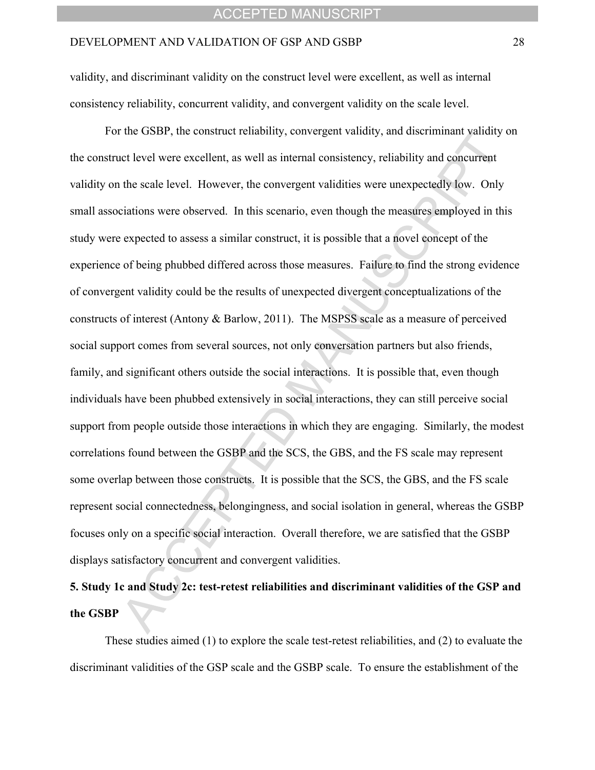validity, and discriminant validity on the construct level were excellent, as well as internal consistency reliability, concurrent validity, and convergent validity on the scale level.

For the GSBP, the construct reliability, convergent validity, and discriminant validity on the construct level were excellent, as well as internal consistency, reliability and concurrent validity on the scale level. However, the convergent validities were unexpectedly low. Only small associations were observed. In this scenario, even though the measures employed in this study were expected to assess a similar construct, it is possible that a novel concept of the experience of being phubbed differed across those measures. Failure to find the strong evidence of convergent validity could be the results of unexpected divergent conceptualizations of the constructs of interest (Antony & Barlow, 2011). The MSPSS scale as a measure of perceived social support comes from several sources, not only conversation partners but also friends, family, and significant others outside the social interactions. It is possible that, even though individuals have been phubbed extensively in social interactions, they can still perceive social support from people outside those interactions in which they are engaging. Similarly, the modest correlations found between the GSBP and the SCS, the GBS, and the FS scale may represent some overlap between those constructs. It is possible that the SCS, the GBS, and the FS scale represent social connectedness, belongingness, and social isolation in general, whereas the GSBP focuses only on a specific social interaction. Overall therefore, we are satisfied that the GSBP displays satisfactory concurrent and convergent validities.

# **5. Study 1c and Study 2c: test-retest reliabilities and discriminant validities of the GSP and the GSBP**

These studies aimed (1) to explore the scale test-retest reliabilities, and (2) to evaluate the discriminant validities of the GSP scale and the GSBP scale. To ensure the establishment of the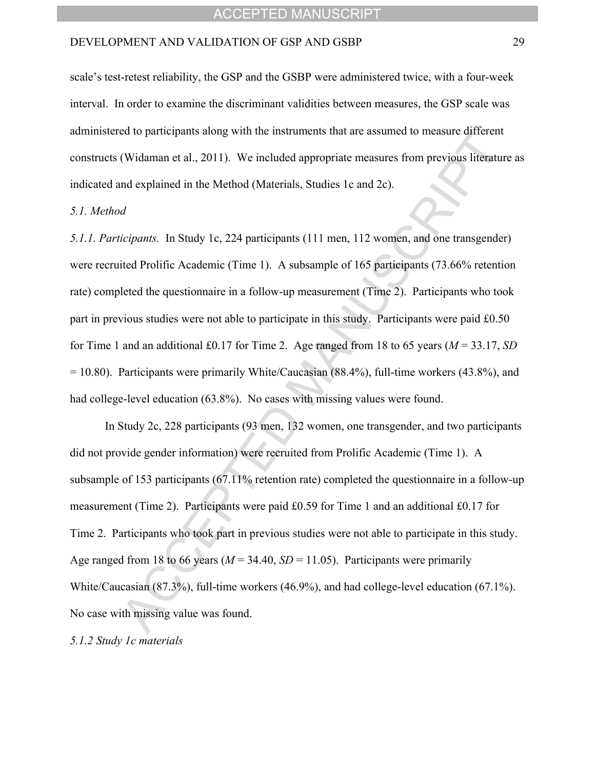scale's test-retest reliability, the GSP and the GSBP were administered twice, with a four-week interval. In order to examine the discriminant validities between measures, the GSP scale was administered to participants along with the instruments that are assumed to measure different constructs (Widaman et al., 2011). We included appropriate measures from previous literature as indicated and explained in the Method (Materials, Studies 1c and 2c).

#### *5.1. Method*

*5.1.1. Participants.* In Study 1c, 224 participants (111 men, 112 women, and one transgender) were recruited Prolific Academic (Time 1). A subsample of 165 participants (73.66% retention rate) completed the questionnaire in a follow-up measurement (Time 2). Participants who took part in previous studies were not able to participate in this study. Participants were paid £0.50 for Time 1 and an additional £0.17 for Time 2. Age ranged from 18 to 65 years ( $M = 33.17$ , *SD*)  $= 10.80$ ). Participants were primarily White/Caucasian (88.4%), full-time workers (43.8%), and had college-level education (63.8%). No cases with missing values were found.

In Study 2c, 228 participants (93 men, 132 women, one transgender, and two participants did not provide gender information) were recruited from Prolific Academic (Time 1). A subsample of 153 participants (67.11% retention rate) completed the questionnaire in a follow-up measurement (Time 2). Participants were paid £0.59 for Time 1 and an additional £0.17 for Time 2. Participants who took part in previous studies were not able to participate in this study. Age ranged from 18 to 66 years ( $M = 34.40$ ,  $SD = 11.05$ ). Participants were primarily White/Caucasian (87.3%), full-time workers (46.9%), and had college-level education (67.1%). No case with missing value was found.

#### *5.1.2 Study 1c materials*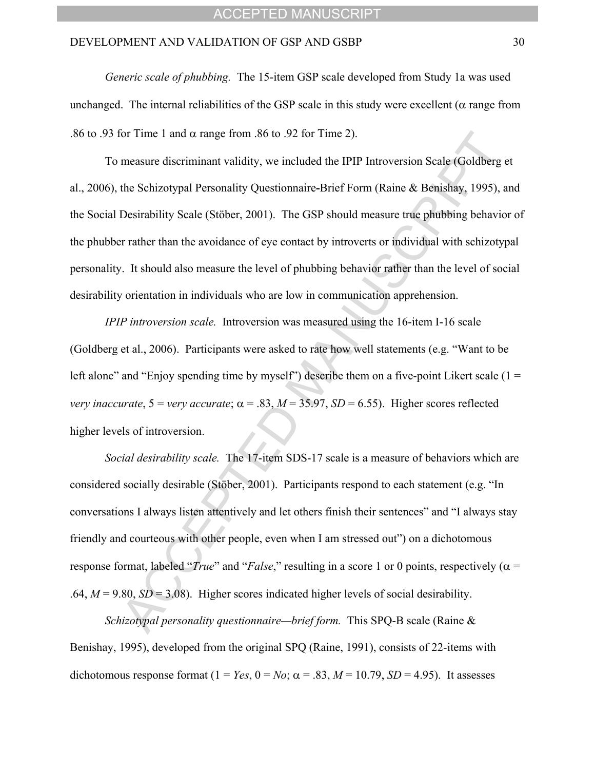*Generic scale of phubbing.*The 15-item GSP scale developed from Study 1a was used unchanged. The internal reliabilities of the GSP scale in this study were excellent ( $\alpha$  range from .86 to .93 for Time 1 and  $\alpha$  range from .86 to .92 for Time 2).

To measure discriminant validity, we included the IPIP Introversion Scale (Goldberg et al., 2006), the Schizotypal Personality Questionnaire**-**Brief Form (Raine & Benishay, 1995), and the Social Desirability Scale (Stöber, 2001). The GSP should measure true phubbing behavior of the phubber rather than the avoidance of eye contact by introverts or individual with schizotypal personality. It should also measure the level of phubbing behavior rather than the level of social desirability orientation in individuals who are low in communication apprehension.

*IPIP introversion scale.* Introversion was measured using the 16-item I-16 scale (Goldberg et al., 2006). Participants were asked to rate how well statements (e.g. "Want to be left alone" and "Enjoy spending time by myself") describe them on a five-point Likert scale ( $1 =$ *very inaccurate*,  $5 =$ *very accurate*;  $\alpha = .83$ ,  $M = 35.97$ ,  $SD = 6.55$ ). Higher scores reflected higher levels of introversion.

*Social desirability scale.* The 17-item SDS-17 scale is a measure of behaviors which are considered socially desirable (Stöber, 2001). Participants respond to each statement (e.g. "In conversations I always listen attentively and let others finish their sentences" and "I always stay friendly and courteous with other people, even when I am stressed out" on a dichotomous response format, labeled *'True*' and '*False*," resulting in a score 1 or 0 points, respectively ( $\alpha$  = .64,  $M = 9.80$ ,  $SD = 3.08$ ). Higher scores indicated higher levels of social desirability.

*Schizotypal personality questionnaire—brief form.* This SPQ-B scale (Raine & Benishay, 1995), developed from the original SPQ (Raine, 1991), consists of 22-items with dichotomous response format  $(1 = Yes, 0 = No; \alpha = .83, M = 10.79, SD = 4.95)$ . It assesses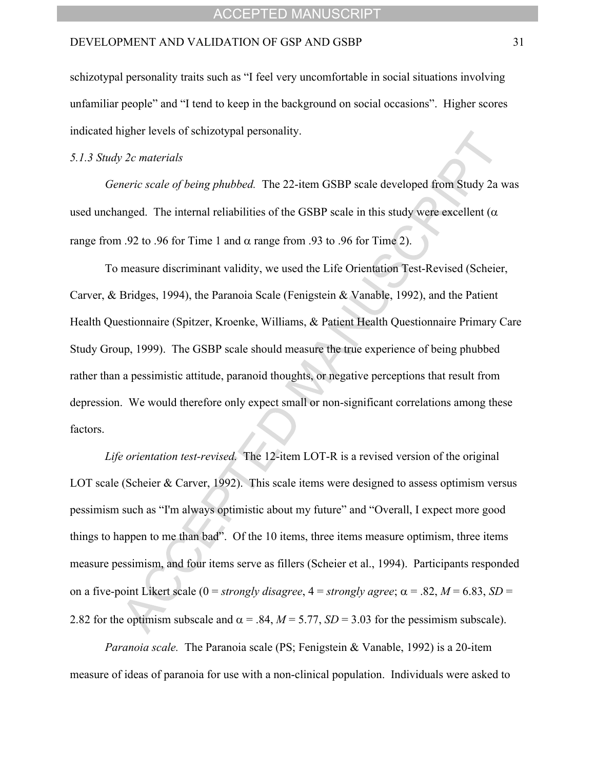schizotypal personality traits such as "I feel very uncomfortable in social situations involving unfamiliar people" and "I tend to keep in the background on social occasions". Higher scores indicated higher levels of schizotypal personality.

#### *5.1.3 Study 2c materials*

*Generic scale of being phubbed.*The 22-item GSBP scale developed from Study 2a was used unchanged. The internal reliabilities of the GSBP scale in this study were excellent ( $\alpha$ ) range from .92 to .96 for Time 1 and  $\alpha$  range from .93 to .96 for Time 2).

To measure discriminant validity, we used the Life Orientation Test-Revised (Scheier, Carver, & Bridges, 1994), the Paranoia Scale (Fenigstein & Vanable, 1992), and the Patient Health Questionnaire (Spitzer, Kroenke, Williams, & Patient Health Questionnaire Primary Care Study Group, 1999). The GSBP scale should measure the true experience of being phubbed rather than a pessimistic attitude, paranoid thoughts, or negative perceptions that result from depression. We would therefore only expect small or non-significant correlations among these factors.

*Life orientation test-revised.* The 12-item LOT-R is a revised version of the original LOT scale (Scheier & Carver, 1992). This scale items were designed to assess optimism versus pessimism such as "I'm always optimistic about my future" and "Overall, I expect more good things to happen to me than bad". Of the 10 items, three items measure optimism, three items measure pessimism, and four items serve as fillers (Scheier et al., 1994). Participants responded on a five-point Likert scale (0 = *strongly disagree*,  $4 =$  *strongly agree*;  $\alpha = .82$ ,  $M = 6.83$ ,  $SD =$ 2.82 for the optimism subscale and  $\alpha$  = .84, *M* = 5.77, *SD* = 3.03 for the pessimism subscale).

*Paranoia scale.* The Paranoia scale (PS; Fenigstein & Vanable, 1992) is a 20-item measure of ideas of paranoia for use with a non-clinical population. Individuals were asked to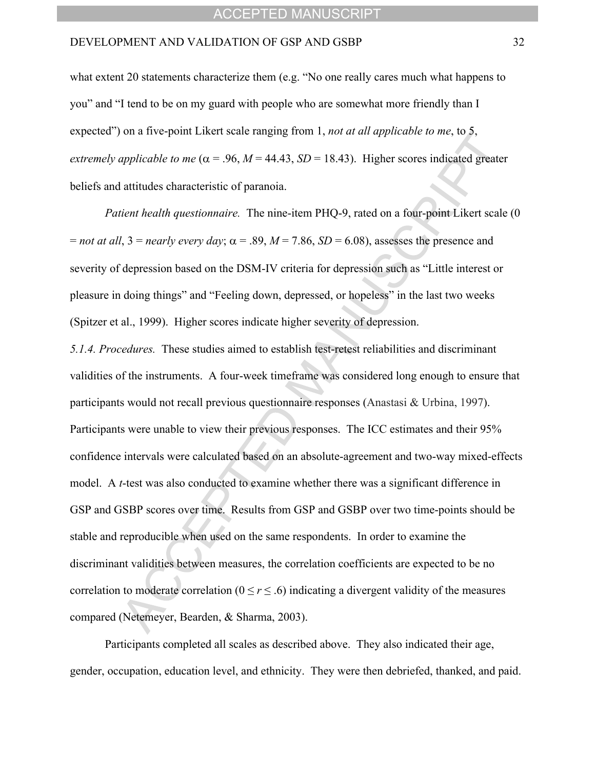what extent 20 statements characterize them  $(e.g., "No one really cares much what happens to$ you" and "I tend to be on my guard with people who are somewhat more friendly than I expected") on a five-point Likert scale ranging from 1, *not at all applicable to me*, to 5, *extremely applicable to me* ( $\alpha$  = .96, *M* = 44.43, *SD* = 18.43). Higher scores indicated greater beliefs and attitudes characteristic of paranoia.

*Patient health questionnaire.* The nine-item PHQ-9, rated on a four-point Likert scale (0  $=$  *not at all*,  $3 =$  *nearly every day*;  $\alpha = .89$ ,  $M = 7.86$ ,  $SD = 6.08$ ), assesses the presence and severity of depression based on the DSM-IV criteria for depression such as "Little interest or pleasure in doing things" and "Feeling down, depressed, or hopeless" in the last two weeks (Spitzer et al., 1999). Higher scores indicate higher severity of depression.

*5.1.4. Procedures.* These studies aimed to establish test-retest reliabilities and discriminant validities of the instruments. A four-week timeframe was considered long enough to ensure that participants would not recall previous questionnaire responses (Anastasi & Urbina, 1997). Participants were unable to view their previous responses. The ICC estimates and their 95% confidence intervals were calculated based on an absolute-agreement and two-way mixed-effects model. A *t*-test was also conducted to examine whether there was a significant difference in GSP and GSBP scores over time. Results from GSP and GSBP over two time-points should be stable and reproducible when used on the same respondents. In order to examine the discriminant validities between measures, the correlation coefficients are expected to be no correlation to moderate correlation ( $0 \le r \le .6$ ) indicating a divergent validity of the measures compared (Netemeyer, Bearden, & Sharma, 2003).

Participants completed all scales as described above. They also indicated their age, gender, occupation, education level, and ethnicity. They were then debriefed, thanked, and paid.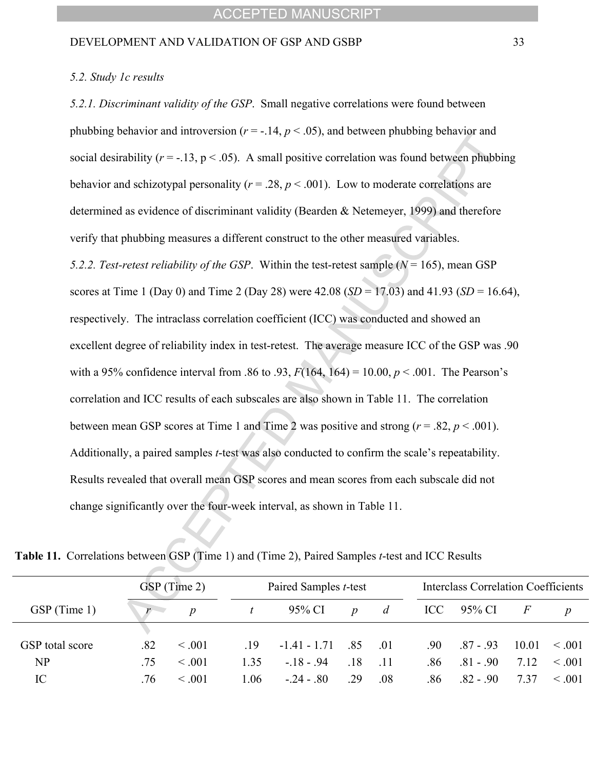#### *5.2. Study 1c results*

*5.2.1. Discriminant validity of the GSP*. Small negative correlations were found between phubbing behavior and introversion ( $r = -14$ ,  $p < 0.05$ ), and between phubbing behavior and social desirability ( $r = -13$ ,  $p < .05$ ). A small positive correlation was found between phubbing behavior and schizotypal personality ( $r = .28$ ,  $p < .001$ ). Low to moderate correlations are determined as evidence of discriminant validity (Bearden & Netemeyer, 1999) and therefore verify that phubbing measures a different construct to the other measured variables. *5.2.2. Test-retest reliability of the GSP*.Within the test-retest sample (*N* = 165), mean GSP scores at Time 1 (Day 0) and Time 2 (Day 28) were 42.08 (*SD* = 17.03) and 41.93 (*SD* = 16.64), respectively. The intraclass correlation coefficient (ICC) was conducted and showed an excellent degree of reliability index in test-retest. The average measure ICC of the GSP was .90 with a 95% confidence interval from .86 to .93,  $F(164, 164) = 10.00, p < .001$ . The Pearson's correlation and ICC results of each subscales are also shown in Table 11. The correlation between mean GSP scores at Time 1 and Time 2 was positive and strong  $(r = .82, p < .001)$ . Additionally, a paired samples *t*-test was also conducted to confirm the scale's repeatability. Results revealed that overall mean GSP scores and mean scores from each subscale did not change significantly over the four-week interval, as shown in Table 11.

|                 | GSP (Time 2) |                  |      | Paired Samples <i>t</i> -test |                  |                |     | <b>Interclass Correlation Coefficients</b> |       |                  |  |
|-----------------|--------------|------------------|------|-------------------------------|------------------|----------------|-----|--------------------------------------------|-------|------------------|--|
| GSP (Time 1)    | r            | $\boldsymbol{D}$ |      | 95% CI                        | $\boldsymbol{D}$ | $\overline{d}$ |     | $\text{ICC}$ 95% CI                        | F     | $\boldsymbol{D}$ |  |
|                 |              |                  |      |                               |                  |                |     |                                            |       |                  |  |
| GSP total score | .82          | $\leq 0.01$      | .19  | $-1.41 - 1.71$                | - 85             | .01            | .90 | $.87 - .93$                                | 10.01 | $\leq .001$      |  |
| NP              | -75          | $\leq 0.01$      | 1.35 | - 18 - 94                     | -18              | $-11$          | -86 | $.81 - .90$                                | 7 1 2 | $\leq 0.01$      |  |
| IC              | .76          | $\leq 0.01$      | 1.06 | $-24 - 80$                    | 29               | .08            | .86 | $.82 - .90$                                | 737   | $\leq 0.01$      |  |

**Table 11.** Correlations between GSP (Time 1) and (Time 2), Paired Samples *t*-test and ICC Results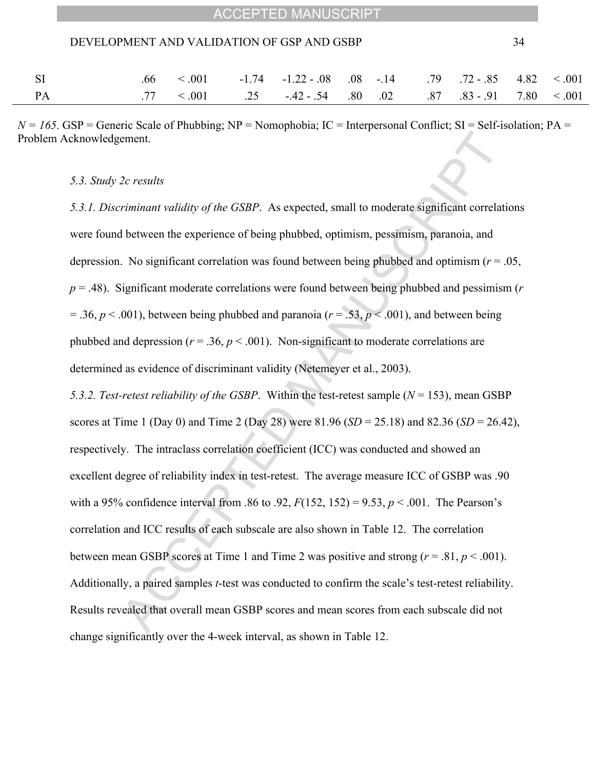| <b>ACCEPTED MANUSCRIPT</b> |  |
|----------------------------|--|
|----------------------------|--|

|           |  | $.66 \, 001$ $-1.74 \, -1.22 - .08 \, 0.08 \, -14$ $.79 \, .72 - .85 \, 4.82 \, 001$    |  |  |  |
|-----------|--|-----------------------------------------------------------------------------------------|--|--|--|
| <b>PA</b> |  | $.77 \, < 0.01$ $.25 \, -42 - 0.54$ $.80 \, 0.02$ $.87 \, 0.83 - 0.91$ $.780 \, < 0.01$ |  |  |  |

 $N = 165$ . GSP = Generic Scale of Phubbing; NP = Nomophobia; IC = Interpersonal Conflict; SI = Self-isolation; PA = Problem Acknowledgement.

#### *5.3. Study 2c results*

*5.3.1. Discriminant validity of the GSBP*. As expected, small to moderate significant correlations were found between the experience of being phubbed, optimism, pessimism, paranoia, and depression. No significant correlation was found between being phubbed and optimism (*r* = .05, *p* = .48). Significant moderate correlations were found between being phubbed and pessimism (*r*  $= .36, p < .001$ ), between being phubbed and paranoia ( $r = .53, p < .001$ ), and between being phubbed and depression ( $r = .36$ ,  $p < .001$ ). Non-significant to moderate correlations are determined as evidence of discriminant validity (Netemeyer et al., 2003).

*5.3.2. Test-retest reliability of the GSBP*. Within the test-retest sample (*N* = 153), mean GSBP scores at Time 1 (Day 0) and Time 2 (Day 28) were 81.96 (*SD* = 25.18) and 82.36 (*SD* = 26.42), respectively. The intraclass correlation coefficient (ICC) was conducted and showed an excellent degree of reliability index in test-retest. The average measure ICC of GSBP was .90 with a 95% confidence interval from .86 to .92,  $F(152, 152) = 9.53$ ,  $p < .001$ . The Pearson's correlation and ICC results of each subscale are also shown in Table 12. The correlation between mean GSBP scores at Time 1 and Time 2 was positive and strong  $(r = .81, p < .001)$ . Additionally, a paired samples *t*-test was conducted to confirm the scale's test-retest reliability. Results revealed that overall mean GSBP scores and mean scores from each subscale did not change significantly over the 4-week interval, as shown in Table 12.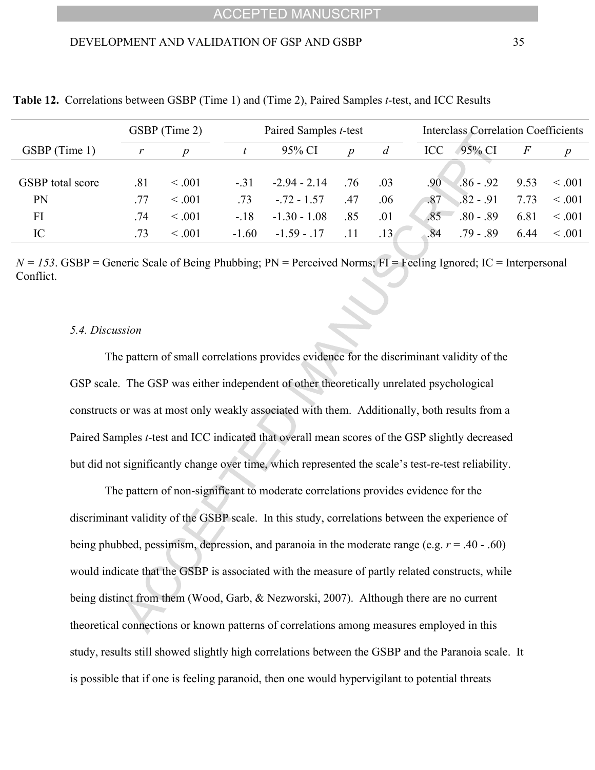|                         | GSBP (Time 2) |                  |         | Paired Samples t-test |                  | <b>Interclass Correlation Coefficients</b> |                    |       |                  |
|-------------------------|---------------|------------------|---------|-----------------------|------------------|--------------------------------------------|--------------------|-------|------------------|
| GSBP (Time 1)           |               | $\boldsymbol{p}$ |         | 95% CI                | $\boldsymbol{D}$ | d                                          | ICC<br>95% CI      | $\,F$ | $\boldsymbol{p}$ |
|                         |               |                  |         |                       |                  |                                            |                    |       |                  |
| <b>GSBP</b> total score | .81           | $\leq .001$      | $-.31$  | $-2.94 - 2.14$        | .76              | .03                                        | $.86 - .92$<br>.90 | 9.53  | $\leq .001$      |
| <b>PN</b>               | -77           | < 0.001          | .73     | $-.72 - 1.57$         | .47              | .06                                        | $.82 - .91$<br>.87 | 7.73  | $\leq .001$      |
| FI                      | .74           | $\leq .001$      | $-.18$  | $-1.30 - 1.08$        | .85              | .01                                        | $.80 - .89$<br>.85 | 6.81  | $\leq .001$      |
| IC                      | .73           | $\leq .001$      | $-1.60$ | $-1.59 - 17$          | -11              | $\overline{13}$                            | $.79 - .89$<br>.84 | 6.44  | $\leq 0.01$      |

**Table 12.** Correlations between GSBP (Time 1) and (Time 2), Paired Samples *t*-test, and ICC Results

 $N = 153$ . GSBP = Generic Scale of Being Phubbing; PN = Perceived Norms; FI = Feeling Ignored; IC = Interpersonal Conflict.

#### *5.4. Discussion*

The pattern of small correlations provides evidence for the discriminant validity of the GSP scale. The GSP was either independent of other theoretically unrelated psychological constructs or was at most only weakly associated with them. Additionally, both results from a Paired Samples *t*-test and ICC indicated that overall mean scores of the GSP slightly decreased but did not significantly change over time, which represented the scale's test-re-test reliability.

The pattern of non-significant to moderate correlations provides evidence for the discriminant validity of the GSBP scale. In this study, correlations between the experience of being phubbed, pessimism, depression, and paranoia in the moderate range (e.g. *r* = .40 - .60) would indicate that the GSBP is associated with the measure of partly related constructs, while being distinct from them (Wood, Garb, & Nezworski, 2007). Although there are no current theoretical connections or known patterns of correlations among measures employed in this study, results still showed slightly high correlations between the GSBP and the Paranoia scale. It is possible that if one is feeling paranoid, then one would hypervigilant to potential threats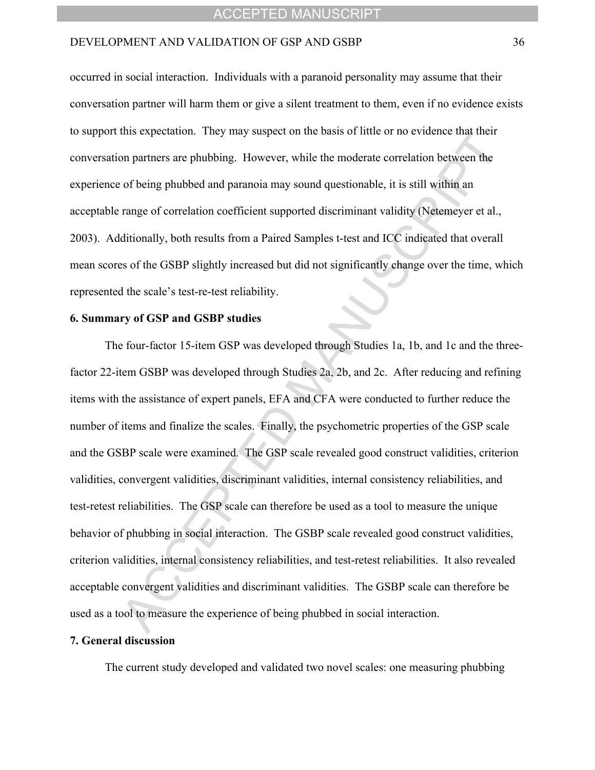#### DEVELOPMENT AND VALIDATION OF GSP AND GSBP 36

occurred in social interaction. Individuals with a paranoid personality may assume that their conversation partner will harm them or give a silent treatment to them, even if no evidence exists to support this expectation. They may suspect on the basis of little or no evidence that their conversation partners are phubbing. However, while the moderate correlation between the experience of being phubbed and paranoia may sound questionable, it is still within an acceptable range of correlation coefficient supported discriminant validity (Netemeyer et al., 2003). Additionally, both results from a Paired Samples t-test and ICC indicated that overall mean scores of the GSBP slightly increased but did not significantly change over the time, which represented the scale's test-re-test reliability.

#### **6. Summary of GSP and GSBP studies**

The four-factor 15-item GSP was developed through Studies 1a, 1b, and 1c and the threefactor 22-item GSBP was developed through Studies 2a, 2b, and 2c. After reducing and refining items with the assistance of expert panels, EFA and CFA were conducted to further reduce the number of items and finalize the scales. Finally, the psychometric properties of the GSP scale and the GSBP scale were examined. The GSP scale revealed good construct validities, criterion validities, convergent validities, discriminant validities, internal consistency reliabilities, and test-retest reliabilities. The GSP scale can therefore be used as a tool to measure the unique behavior of phubbing in social interaction. The GSBP scale revealed good construct validities, criterion validities, internal consistency reliabilities, and test-retest reliabilities. It also revealed acceptable convergent validities and discriminant validities. The GSBP scale can therefore be used as a tool to measure the experience of being phubbed in social interaction.

#### **7. General discussion**

The current study developed and validated two novel scales: one measuring phubbing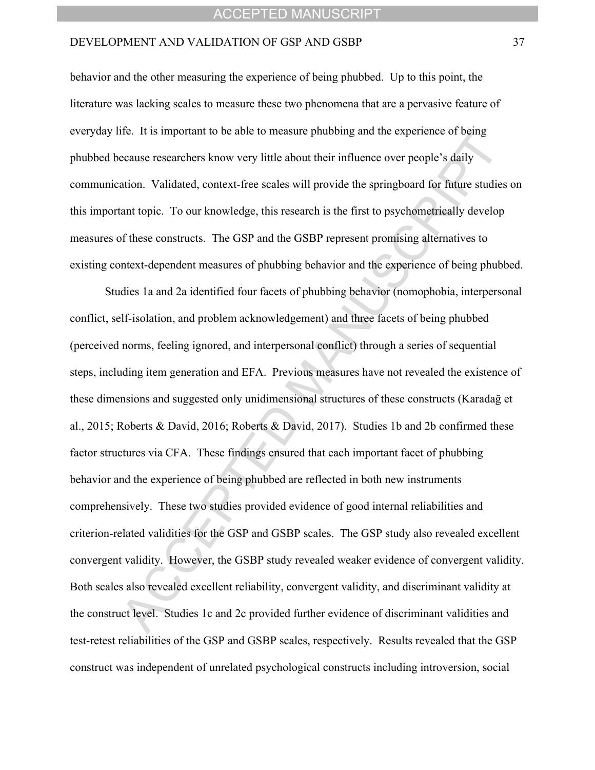#### DEVELOPMENT AND VALIDATION OF GSP AND GSBP 37

behavior and the other measuring the experience of being phubbed. Up to this point, the literature was lacking scales to measure these two phenomena that are a pervasive feature of everyday life. It is important to be able to measure phubbing and the experience of being phubbed because researchers know very little about their influence over people's daily communication. Validated, context-free scales will provide the springboard for future studies on this important topic. To our knowledge, this research is the first to psychometrically develop measures of these constructs. The GSP and the GSBP represent promising alternatives to existing context-dependent measures of phubbing behavior and the experience of being phubbed.

Studies 1a and 2a identified four facets of phubbing behavior (nomophobia, interpersonal conflict, self-isolation, and problem acknowledgement) and three facets of being phubbed (perceived norms, feeling ignored, and interpersonal conflict) through a series of sequential steps, including item generation and EFA. Previous measures have not revealed the existence of these dimensions and suggested only unidimensional structures of these constructs (Karadağ et al., 2015; Roberts & David, 2016; Roberts & David, 2017). Studies 1b and 2b confirmed these factor structures via CFA. These findings ensured that each important facet of phubbing behavior and the experience of being phubbed are reflected in both new instruments comprehensively. These two studies provided evidence of good internal reliabilities and criterion-related validities for the GSP and GSBP scales. The GSP study also revealed excellent convergent validity. However, the GSBP study revealed weaker evidence of convergent validity. Both scales also revealed excellent reliability, convergent validity, and discriminant validity at the construct level. Studies 1c and 2c provided further evidence of discriminant validities and test-retest reliabilities of the GSP and GSBP scales, respectively. Results revealed that the GSP construct was independent of unrelated psychological constructs including introversion, social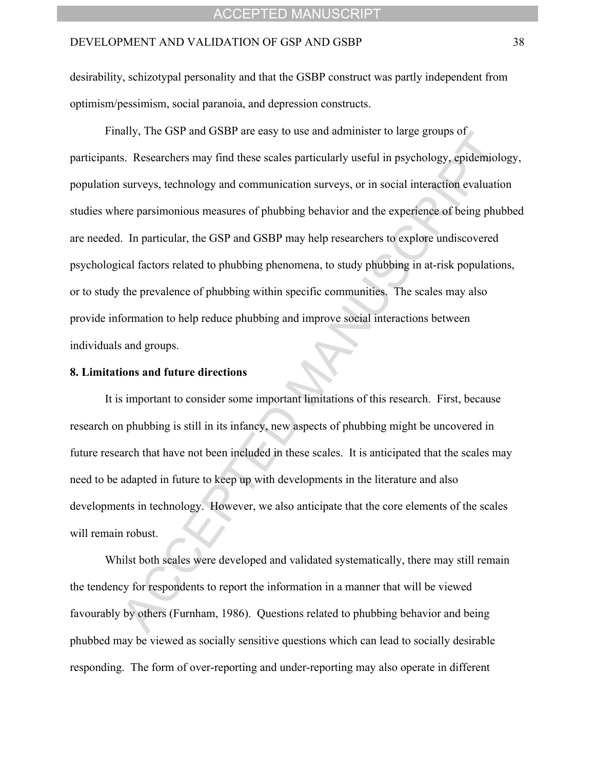desirability, schizotypal personality and that the GSBP construct was partly independent from optimism/pessimism, social paranoia, and depression constructs.

Finally, The GSP and GSBP are easy to use and administer to large groups of participants. Researchers may find these scales particularly useful in psychology, epidemiology, population surveys, technology and communication surveys, or in social interaction evaluation studies where parsimonious measures of phubbing behavior and the experience of being phubbed are needed. In particular, the GSP and GSBP may help researchers to explore undiscovered psychological factors related to phubbing phenomena, to study phubbing in at-risk populations, or to study the prevalence of phubbing within specific communities. The scales may also provide information to help reduce phubbing and improve social interactions between individuals and groups.

#### **8. Limitations and future directions**

It is important to consider some important limitations of this research. First, because research on phubbing is still in its infancy, new aspects of phubbing might be uncovered in future research that have not been included in these scales. It is anticipated that the scales may need to be adapted in future to keep up with developments in the literature and also developments in technology. However, we also anticipate that the core elements of the scales will remain robust.

Whilst both scales were developed and validated systematically, there may still remain the tendency for respondents to report the information in a manner that will be viewed favourably by others (Furnham, 1986). Questions related to phubbing behavior and being phubbed may be viewed as socially sensitive questions which can lead to socially desirable responding. The form of over-reporting and under-reporting may also operate in different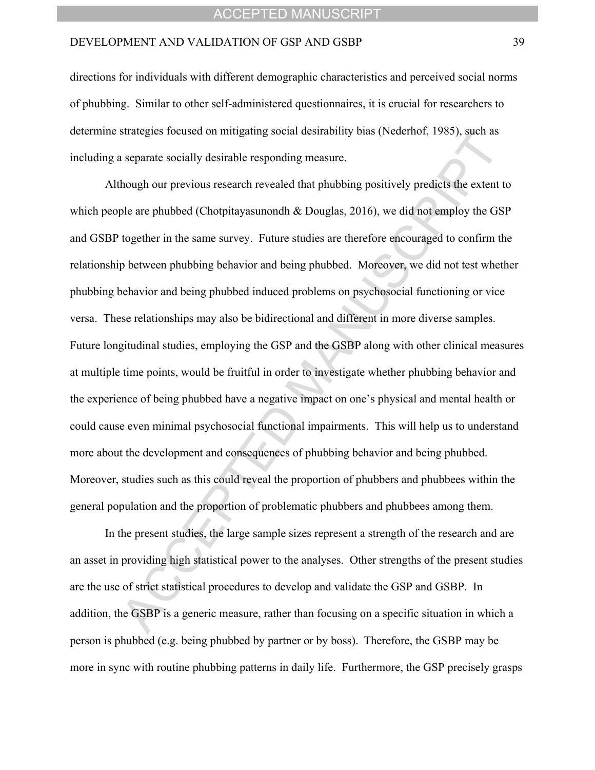#### DEVELOPMENT AND VALIDATION OF GSP AND GSBP 39

directions for individuals with different demographic characteristics and perceived social norms of phubbing. Similar to other self-administered questionnaires, it is crucial for researchers to determine strategies focused on mitigating social desirability bias (Nederhof, 1985), such as including a separate socially desirable responding measure.

Although our previous research revealed that phubbing positively predicts the extent to which people are phubbed (Chotpitayasunondh & Douglas, 2016), we did not employ the GSP and GSBP together in the same survey. Future studies are therefore encouraged to confirm the relationship between phubbing behavior and being phubbed. Moreover, we did not test whether phubbing behavior and being phubbed induced problems on psychosocial functioning or vice versa. These relationships may also be bidirectional and different in more diverse samples. Future longitudinal studies, employing the GSP and the GSBP along with other clinical measures at multiple time points, would be fruitful in order to investigate whether phubbing behavior and the experience of being phubbed have a negative impact on one's physical and mental health or could cause even minimal psychosocial functional impairments. This will help us to understand more about the development and consequences of phubbing behavior and being phubbed. Moreover, studies such as this could reveal the proportion of phubbers and phubbees within the general population and the proportion of problematic phubbers and phubbees among them.

In the present studies, the large sample sizes represent a strength of the research and are an asset in providing high statistical power to the analyses. Other strengths of the present studies are the use of strict statistical procedures to develop and validate the GSP and GSBP. In addition, the GSBP is a generic measure, rather than focusing on a specific situation in which a person is phubbed (e.g. being phubbed by partner or by boss). Therefore, the GSBP may be more in sync with routine phubbing patterns in daily life. Furthermore, the GSP precisely grasps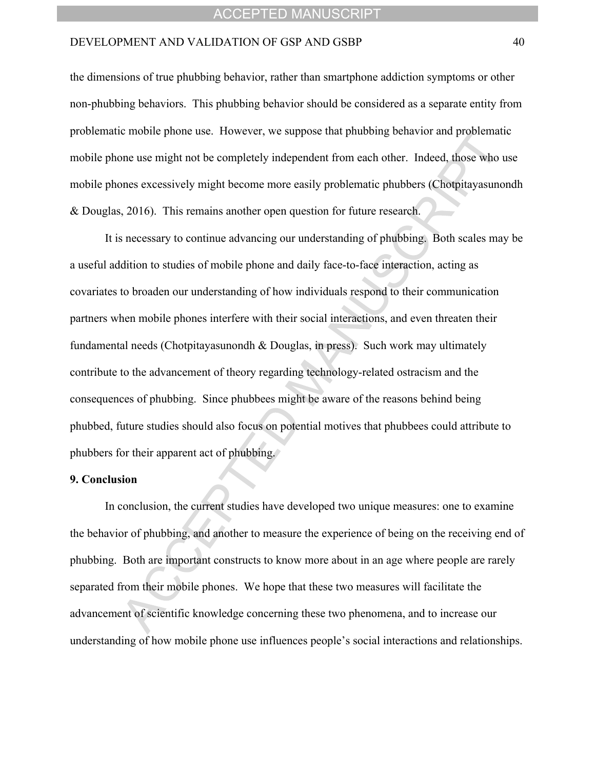#### DEVELOPMENT AND VALIDATION OF GSP AND GSBP 40

the dimensions of true phubbing behavior, rather than smartphone addiction symptoms or other non-phubbing behaviors. This phubbing behavior should be considered as a separate entity from problematic mobile phone use. However, we suppose that phubbing behavior and problematic mobile phone use might not be completely independent from each other. Indeed, those who use mobile phones excessively might become more easily problematic phubbers (Chotpitayasunondh & Douglas, 2016). This remains another open question for future research.

It is necessary to continue advancing our understanding of phubbing. Both scales may be a useful addition to studies of mobile phone and daily face-to-face interaction, acting as covariates to broaden our understanding of how individuals respond to their communication partners when mobile phones interfere with their social interactions, and even threaten their fundamental needs (Chotpitayasunondh & Douglas, in press). Such work may ultimately contribute to the advancement of theory regarding technology-related ostracism and the consequences of phubbing. Since phubbees might be aware of the reasons behind being phubbed, future studies should also focus on potential motives that phubbees could attribute to phubbers for their apparent act of phubbing.

#### **9. Conclusion**

In conclusion, the current studies have developed two unique measures: one to examine the behavior of phubbing, and another to measure the experience of being on the receiving end of phubbing. Both are important constructs to know more about in an age where people are rarely separated from their mobile phones. We hope that these two measures will facilitate the advancement of scientific knowledge concerning these two phenomena, and to increase our understanding of how mobile phone use influences people's social interactions and relationships.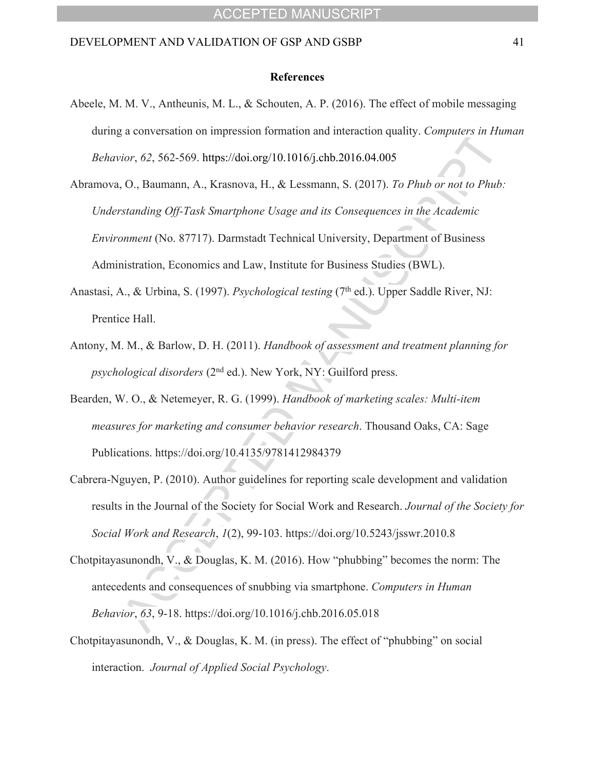#### **References**

- Abeele, M. M. V., Antheunis, M. L., & Schouten, A. P. (2016). The effect of mobile messaging during a conversation on impression formation and interaction quality. *Computers in Human Behavior*, *62*, 562-569. https://doi.org/10.1016/j.chb.2016.04.005
- Abramova, O., Baumann, A., Krasnova, H., & Lessmann, S. (2017). *To Phub or not to Phub: Understanding Off-Task Smartphone Usage and its Consequences in the Academic Environment* (No. 87717). Darmstadt Technical University, Department of Business Administration, Economics and Law, Institute for Business Studies (BWL).
- Anastasi, A., & Urbina, S. (1997). *Psychological testing* (7<sup>th</sup> ed.). Upper Saddle River, NJ: Prentice Hall.
- Antony, M. M., & Barlow, D. H. (2011). *Handbook of assessment and treatment planning for psychological disorders* (2nd ed.). New York, NY: Guilford press.
- Bearden, W. O., & Netemeyer, R. G. (1999). *Handbook of marketing scales: Multi-item measures for marketing and consumer behavior research*. Thousand Oaks, CA: Sage Publications. https://doi.org/10.4135/9781412984379
- Cabrera-Nguyen, P. (2010). Author guidelines for reporting scale development and validation results in the Journal of the Society for Social Work and Research. *Journal of the Society for Social Work and Research*, *1*(2), 99-103. https://doi.org/10.5243/jsswr.2010.8
- Chotpitayasunondh, V., & Douglas, K. M. (2016). How "phubbing" becomes the norm: The antecedents and consequences of snubbing via smartphone. *Computers in Human Behavior*, *63*, 9-18. https://doi.org/10.1016/j.chb.2016.05.018
- Chotpitayasunondh, V., & Douglas, K. M. (in press). The effect of "phubbing" on social interaction. *Journal of Applied Social Psychology*.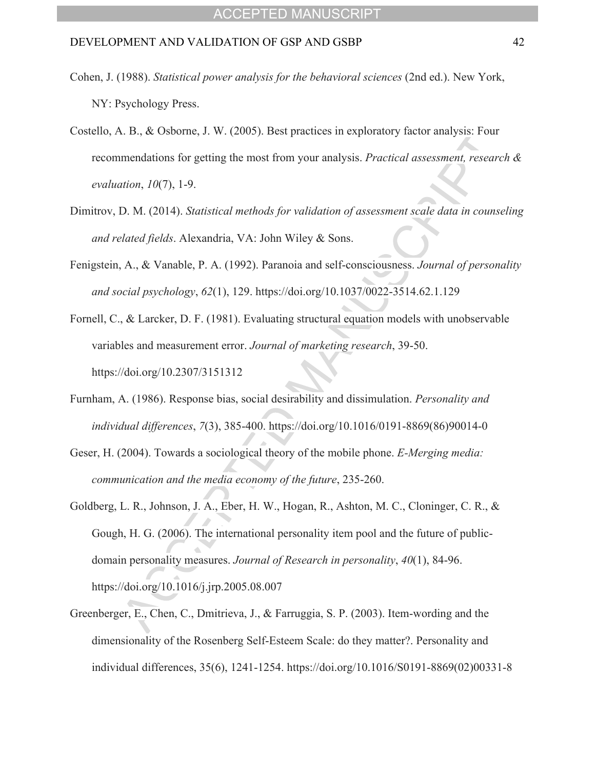- Cohen, J. (1988). *Statistical power analysis for the behavioral sciences* (2nd ed.). New York, NY: Psychology Press.
- Costello, A. B., & Osborne, J. W. (2005). Best practices in exploratory factor analysis: Four recommendations for getting the most from your analysis. *Practical assessment, research & evaluation*, *10*(7), 1-9.
- Dimitrov, D. M. (2014). *Statistical methods for validation of assessment scale data in counseling and related fields*. Alexandria, VA: John Wiley & Sons.
- Fenigstein, A., & Vanable, P. A. (1992). Paranoia and self-consciousness. *Journal of personality and social psychology*, *62*(1), 129. https://doi.org/10.1037/0022-3514.62.1.129
- Fornell, C., & Larcker, D. F. (1981). Evaluating structural equation models with unobservable variables and measurement error. *Journal of marketing research*, 39-50. https://doi.org/10.2307/3151312
- Furnham, A. (1986). Response bias, social desirability and dissimulation. *Personality and individual differences*, *7*(3), 385-400. https://doi.org/10.1016/0191-8869(86)90014-0
- Geser, H. (2004). Towards a sociological theory of the mobile phone. *E-Merging media: communication and the media economy of the future*, 235-260.
- Goldberg, L. R., Johnson, J. A., Eber, H. W., Hogan, R., Ashton, M. C., Cloninger, C. R., & Gough, H. G. (2006). The international personality item pool and the future of publicdomain personality measures. *Journal of Research in personality*, *40*(1), 84-96. https://doi.org/10.1016/j.jrp.2005.08.007
- Greenberger, E., Chen, C., Dmitrieva, J., & Farruggia, S. P. (2003). Item-wording and the dimensionality of the Rosenberg Self-Esteem Scale: do they matter?. Personality and individual differences, 35(6), 1241-1254. https://doi.org/10.1016/S0191-8869(02)00331-8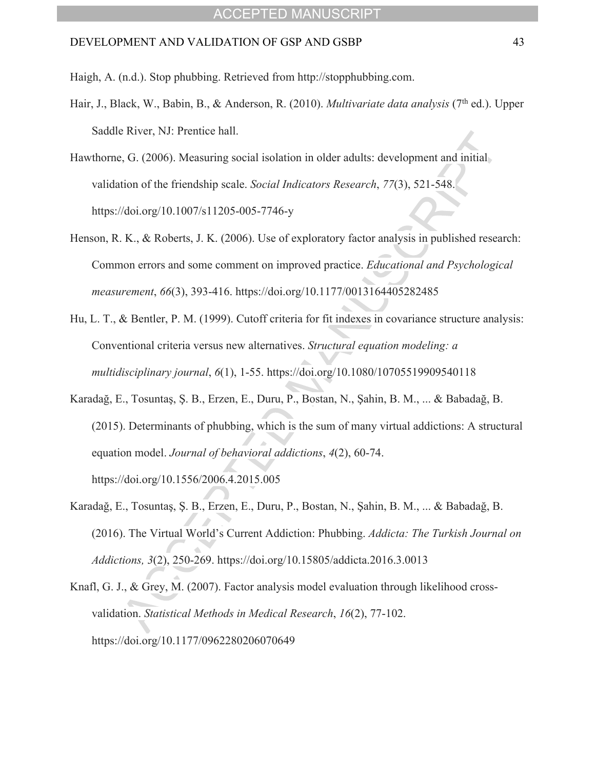Haigh, A. (n.d.). Stop phubbing. Retrieved from http://stopphubbing.com.

- Hair, J., Black, W., Babin, B., & Anderson, R. (2010). *Multivariate data analysis* (7th ed.). Upper Saddle River, NJ: Prentice hall.
- Hawthorne, G. (2006). Measuring social isolation in older adults: development and initial validation of the friendship scale. *Social Indicators Research*, *77*(3), 521-548. https://doi.org/10.1007/s11205-005-7746-y
- Henson, R. K., & Roberts, J. K. (2006). Use of exploratory factor analysis in published research: Common errors and some comment on improved practice. *Educational and Psychological measurement*, *66*(3), 393-416. https://doi.org/10.1177/0013164405282485
- Hu, L. T., & Bentler, P. M. (1999). Cutoff criteria for fit indexes in covariance structure analysis: Conventional criteria versus new alternatives. *Structural equation modeling: a multidisciplinary journal*, *6*(1), 1-55. https://doi.org/10.1080/10705519909540118
- Karadağ, E., Tosuntaş, Ş. B., Erzen, E., Duru, P., Bostan, N., Şahin, B. M., ... & Babadağ, B. (2015). Determinants of phubbing, which is the sum of many virtual addictions: A structural equation model. *Journal of behavioral addictions*, *4*(2), 60-74. https://doi.org/10.1556/2006.4.2015.005
- Karadağ, E., Tosuntaş, Ş. B., Erzen, E., Duru, P., Bostan, N., Şahin, B. M., ... & Babadağ, B. (2016). The Virtual World's Current Addiction: Phubbing. *Addicta: The Turkish Journal on Addictions, 3*(2), 250-269. https://doi.org/10.15805/addicta.2016.3.0013

Knafl, G. J., & Grey, M. (2007). Factor analysis model evaluation through likelihood crossvalidation. *Statistical Methods in Medical Research*, *16*(2), 77-102. https://doi.org/10.1177/0962280206070649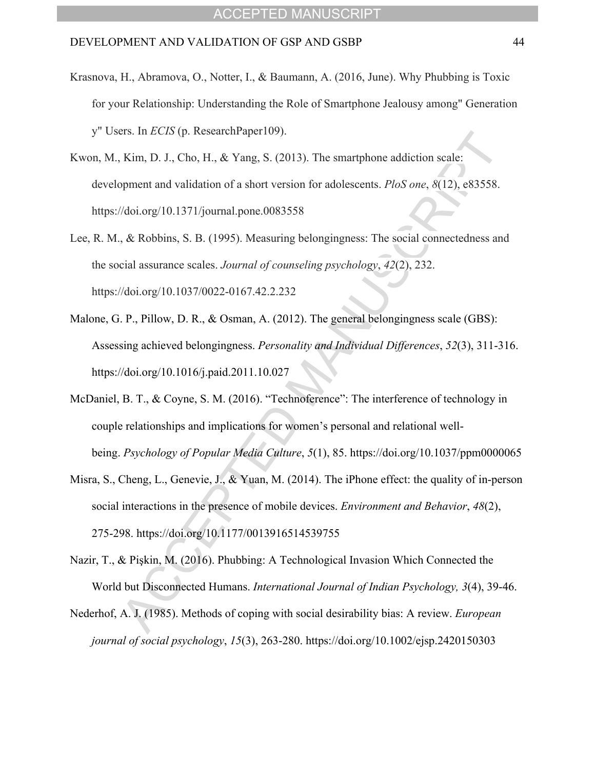- Krasnova, H., Abramova, O., Notter, I., & Baumann, A. (2016, June). Why Phubbing is Toxic for your Relationship: Understanding the Role of Smartphone Jealousy among" Generation y" Users. In *ECIS* (p. ResearchPaper109).
- Kwon, M., Kim, D. J., Cho, H., & Yang, S. (2013). The smartphone addiction scale: development and validation of a short version for adolescents. *PloS one*, *8*(12), e83558. https://doi.org/10.1371/journal.pone.0083558
- Lee, R. M., & Robbins, S. B. (1995). Measuring belongingness: The social connectedness and the social assurance scales. *Journal of counseling psychology*, *42*(2), 232. https://doi.org/10.1037/0022-0167.42.2.232
- Malone, G. P., Pillow, D. R., & Osman, A. (2012). The general belongingness scale (GBS): Assessing achieved belongingness. *Personality and Individual Differences*, *52*(3), 311-316. https://doi.org/10.1016/j.paid.2011.10.027
- McDaniel, B. T., & Coyne, S. M. (2016). "Technoference": The interference of technology in couple relationships and implications for women's personal and relational wellbeing. *Psychology of Popular Media Culture*, *5*(1), 85. https://doi.org/10.1037/ppm0000065
- Misra, S., Cheng, L., Genevie, J., & Yuan, M. (2014). The iPhone effect: the quality of in-person social interactions in the presence of mobile devices. *Environment and Behavior*, *48*(2), 275-298. https://doi.org/10.1177/0013916514539755
- Nazir, T., & Pişkin, M. (2016). Phubbing: A Technological Invasion Which Connected the World but Disconnected Humans. *International Journal of Indian Psychology, 3*(4), 39-46.
- Nederhof, A. J. (1985). Methods of coping with social desirability bias: A review. *European journal of social psychology*, *15*(3), 263-280. https://doi.org/10.1002/ejsp.2420150303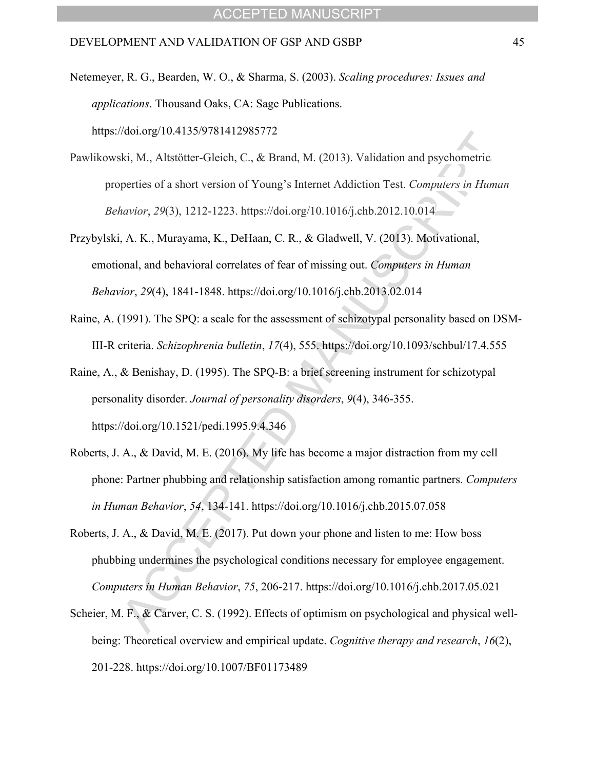Netemeyer, R. G., Bearden, W. O., & Sharma, S. (2003). *Scaling procedures: Issues and applications*. Thousand Oaks, CA: Sage Publications. https://doi.org/10.4135/9781412985772

- Pawlikowski, M., Altstötter-Gleich, C., & Brand, M. (2013). Validation and psychometric properties of a short version of Youngís Internet Addiction Test. *Computers in Human Behavior*, *29*(3), 1212-1223. https://doi.org/10.1016/j.chb.2012.10.014
- Przybylski, A. K., Murayama, K., DeHaan, C. R., & Gladwell, V. (2013). Motivational, emotional, and behavioral correlates of fear of missing out. *Computers in Human Behavior*, *29*(4), 1841-1848. https://doi.org/10.1016/j.chb.2013.02.014
- Raine, A. (1991). The SPQ: a scale for the assessment of schizotypal personality based on DSM-III-R criteria. *Schizophrenia bulletin*, *17*(4), 555. https://doi.org/10.1093/schbul/17.4.555
- Raine, A., & Benishay, D. (1995). The SPQ-B: a brief screening instrument for schizotypal personality disorder. *Journal of personality disorders*, *9*(4), 346-355. https://doi.org/10.1521/pedi.1995.9.4.346
- Roberts, J. A., & David, M. E. (2016). My life has become a major distraction from my cell phone: Partner phubbing and relationship satisfaction among romantic partners. *Computers in Human Behavior*, *54*, 134-141. https://doi.org/10.1016/j.chb.2015.07.058
- Roberts, J. A., & David, M. E. (2017). Put down your phone and listen to me: How boss phubbing undermines the psychological conditions necessary for employee engagement. *Computers in Human Behavior*, *75*, 206-217. https://doi.org/10.1016/j.chb.2017.05.021
- Scheier, M. F., & Carver, C. S. (1992). Effects of optimism on psychological and physical wellbeing: Theoretical overview and empirical update. *Cognitive therapy and research*, *16*(2), 201-228. https://doi.org/10.1007/BF01173489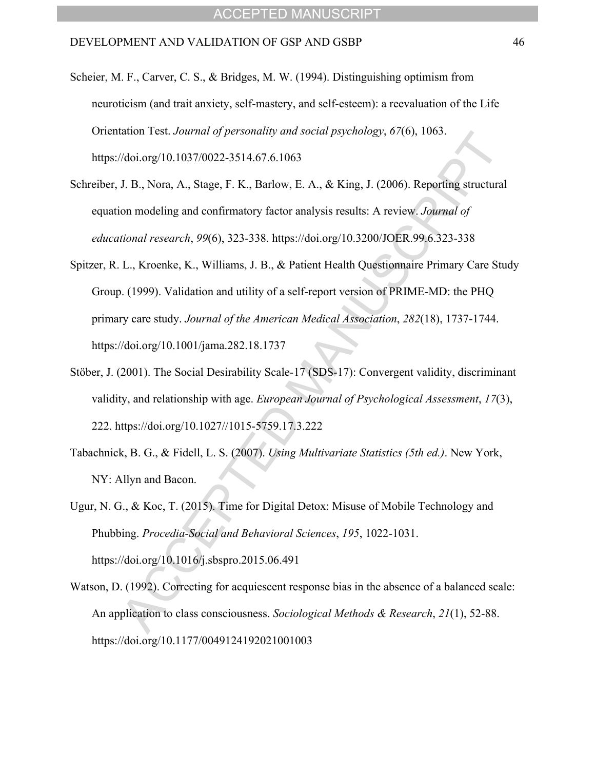- Scheier, M. F., Carver, C. S., & Bridges, M. W. (1994). Distinguishing optimism from neuroticism (and trait anxiety, self-mastery, and self-esteem): a reevaluation of the Life Orientation Test. *Journal of personality and social psychology*, *67*(6), 1063. https://doi.org/10.1037/0022-3514.67.6.1063
- Schreiber, J. B., Nora, A., Stage, F. K., Barlow, E. A., & King, J. (2006). Reporting structural equation modeling and confirmatory factor analysis results: A review. *Journal of educational research*, *99*(6), 323-338. https://doi.org/10.3200/JOER.99.6.323-338
- Spitzer, R. L., Kroenke, K., Williams, J. B., & Patient Health Questionnaire Primary Care Study Group. (1999). Validation and utility of a self-report version of PRIME-MD: the PHQ primary care study. *Journal of the American Medical Association*, *282*(18), 1737-1744. https://doi.org/10.1001/jama.282.18.1737
- Stöber, J. (2001). The Social Desirability Scale-17 (SDS-17): Convergent validity, discriminant validity, and relationship with age. *European Journal of Psychological Assessment*, *17*(3), 222. https://doi.org/10.1027//1015-5759.17.3.222
- Tabachnick, B. G., & Fidell, L. S. (2007). *Using Multivariate Statistics (5th ed.)*. New York, NY: Allyn and Bacon.
- Ugur, N. G., & Koc, T. (2015). Time for Digital Detox: Misuse of Mobile Technology and Phubbing. *Procedia-Social and Behavioral Sciences*, *195*, 1022-1031. https://doi.org/10.1016/j.sbspro.2015.06.491
- Watson, D. (1992). Correcting for acquiescent response bias in the absence of a balanced scale: An application to class consciousness. *Sociological Methods & Research*, *21*(1), 52-88. https://doi.org/10.1177/0049124192021001003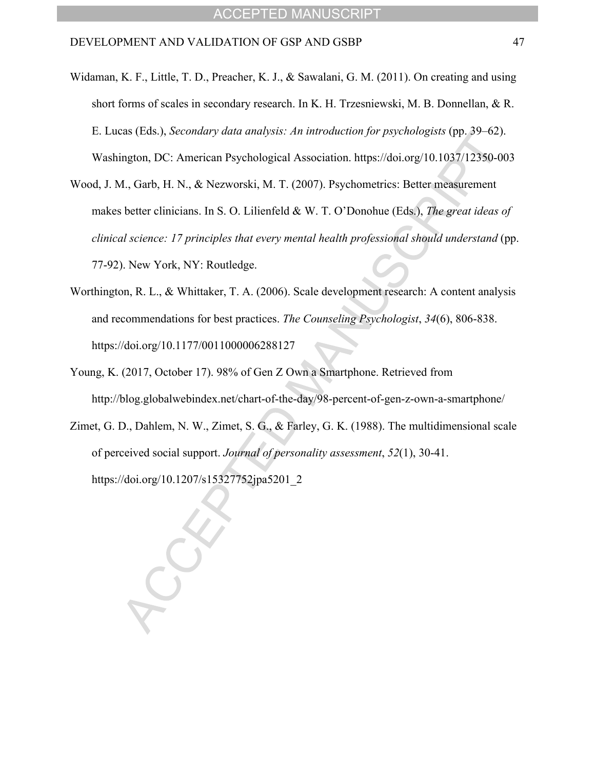- Widaman, K. F., Little, T. D., Preacher, K. J., & Sawalani, G. M. (2011). On creating and using short forms of scales in secondary research. In K. H. Trzesniewski, M. B. Donnellan, & R. E. Lucas (Eds.), *Secondary data analysis: An introduction for psychologists* (pp. 39–62). Washington, DC: American Psychological Association. https://doi.org/10.1037/12350-003
- Wood, J. M., Garb, H. N., & Nezworski, M. T. (2007). Psychometrics: Better measurement makes better clinicians. In S. O. Lilienfeld & W. T. O'Donohue (Eds.), *The great ideas of clinical science: 17 principles that every mental health professional should understand* (pp. 77-92). New York, NY: Routledge.
- Worthington, R. L., & Whittaker, T. A. (2006). Scale development research: A content analysis and recommendations for best practices. *The Counseling Psychologist*, *34*(6), 806-838. https://doi.org/10.1177/0011000006288127
- Young, K. (2017, October 17). 98% of Gen Z Own a Smartphone. Retrieved from http://blog.globalwebindex.net/chart-of-the-day/98-percent-of-gen-z-own-a-smartphone/
- Zimet, G. D., Dahlem, N. W., Zimet, S. G., & Farley, G. K. (1988). The multidimensional scale of perceived social support. *Journal of personality assessment*, *52*(1), 30-41. https://doi.org/10.1207/s15327752jpa5201\_2